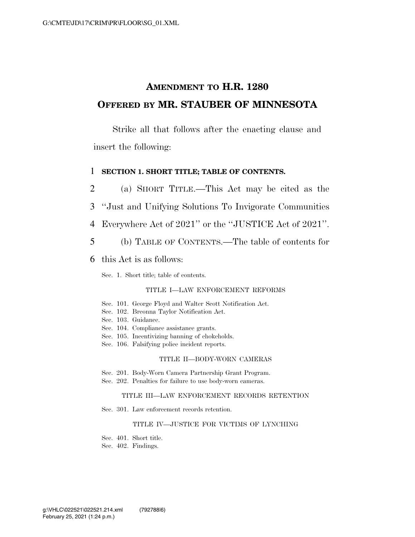## **AMENDMENT TO H.R. 1280 OFFERED BY MR. STAUBER OF MINNESOTA**

Strike all that follows after the enacting clause and insert the following:

### 1 **SECTION 1. SHORT TITLE; TABLE OF CONTENTS.**

 (a) SHORT TITLE.—This Act may be cited as the ''Just and Unifying Solutions To Invigorate Communities Everywhere Act of 2021'' or the ''JUSTICE Act of 2021''. (b) TABLE OF CONTENTS.—The table of contents for this Act is as follows:

Sec. 1. Short title; table of contents.

#### TITLE I—LAW ENFORCEMENT REFORMS

- Sec. 101. George Floyd and Walter Scott Notification Act.
- Sec. 102. Breonna Taylor Notification Act.
- Sec. 103. Guidance.
- Sec. 104. Compliance assistance grants.
- Sec. 105. Incentivizing banning of chokeholds.
- Sec. 106. Falsifying police incident reports.

#### TITLE II—BODY-WORN CAMERAS

Sec. 201. Body-Worn Camera Partnership Grant Program.

Sec. 202. Penalties for failure to use body-worn cameras.

#### TITLE III—LAW ENFORCEMENT RECORDS RETENTION

Sec. 301. Law enforcement records retention.

#### TITLE IV—JUSTICE FOR VICTIMS OF LYNCHING

Sec. 401. Short title.

Sec. 402. Findings.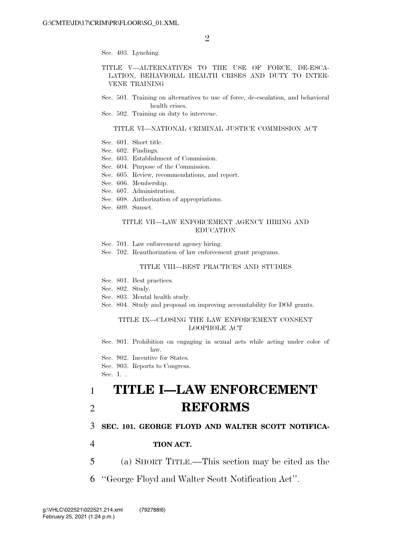Sec. 403. Lynching.

#### TITLE V—ALTERNATIVES TO THE USE OF FORCE, DE-ESCA-LATION, BEHAVIORAL HEALTH CRISES AND DUTY TO INTER-VENE TRAINING

- Sec. 501. Training on alternatives to use of force, de-escalation, and behavioral health crises.
- Sec. 502. Training on duty to intervene.

#### TITLE VI—NATIONAL CRIMINAL JUSTICE COMMISSION ACT

- Sec. 601. Short title.
- Sec. 602. Findings.
- Sec. 603. Establishment of Commission.
- Sec. 604. Purpose of the Commission.
- Sec. 605. Review, recommendations, and report.
- Sec. 606. Membership.
- Sec. 607. Administration.
- Sec. 608. Authorization of appropriations.
- Sec. 609. Sunset.

#### TITLE VII—LAW ENFORCEMENT AGENCY HIRING AND EDUCATION

- Sec. 701. Law enforcement agency hiring.
- Sec. 702. Reauthorization of law enforcement grant programs.

#### TITLE VIII—BEST PRACTICES AND STUDIES

- Sec. 801. Best practices.
- Sec. 802. Study.
- Sec. 803. Mental health study.
- Sec. 804. Study and proposal on improving accountability for DOJ grants.

#### TITLE IX—CLOSING THE LAW ENFORCEMENT CONSENT LOOPHOLE ACT

Sec. 901. Prohibition on engaging in sexual acts while acting under color of law.

- Sec. 902. Incentive for States.
- Sec. 903. Reports to Congress.

Sec. 1. .

# 1 **TITLE I—LAW ENFORCEMENT**  2 **REFORMS**

### 3 **SEC. 101. GEORGE FLOYD AND WALTER SCOTT NOTIFICA-**

- 4 **TION ACT.**
- 5 (a) SHORT TITLE.—This section may be cited as the
- 6 ''George Floyd and Walter Scott Notification Act''.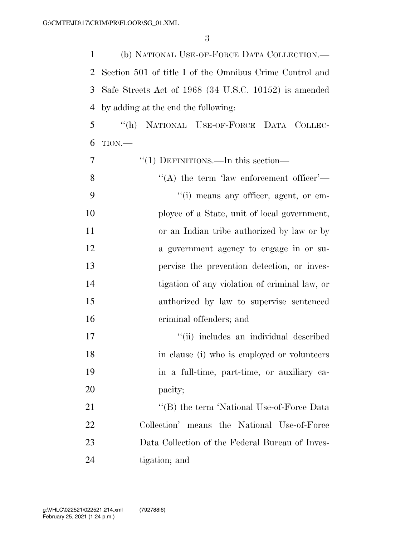(b) NATIONAL USE-OF-FORCE DATA COLLECTION.— Section 501 of title I of the Omnibus Crime Control and Safe Streets Act of 1968 (34 U.S.C. 10152) is amended by adding at the end the following:

 ''(h) NATIONAL USE-OF-FORCE DATA COLLEC-TION $-$ 

| 7  | " $(1)$ DEFINITIONS.—In this section—           |
|----|-------------------------------------------------|
| 8  | "(A) the term 'law enforcement officer'—        |
| 9  | "(i) means any officer, agent, or em-           |
| 10 | ployee of a State, unit of local government,    |
| 11 | or an Indian tribe authorized by law or by      |
| 12 | a government agency to engage in or su-         |
| 13 | pervise the prevention detection, or inves-     |
| 14 | tigation of any violation of criminal law, or   |
| 15 | authorized by law to supervise sentenced        |
| 16 | criminal offenders; and                         |
| 17 | "(ii) includes an individual described          |
| 18 | in clause (i) who is employed or volunteers     |
| 19 | in a full-time, part-time, or auxiliary ca-     |
| 20 | pacity;                                         |
| 21 | "(B) the term 'National Use-of-Force Data       |
| 22 | Collection' means the National Use-of-Force     |
| 23 | Data Collection of the Federal Bureau of Inves- |
| 24 | tigation; and                                   |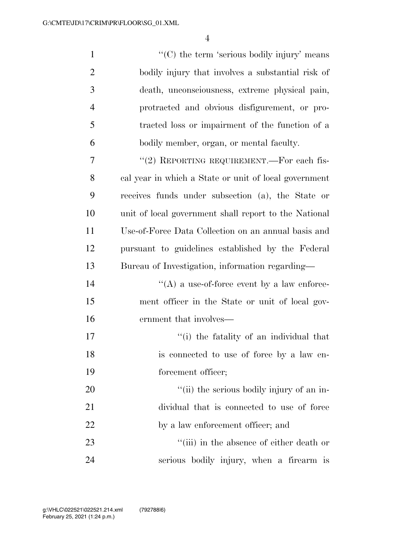| $\mathbf{1}$   | " $(C)$ the term 'serious bodily injury' means        |
|----------------|-------------------------------------------------------|
| $\overline{2}$ | bodily injury that involves a substantial risk of     |
| 3              | death, unconsciousness, extreme physical pain,        |
| $\overline{4}$ | protracted and obvious disfigurement, or pro-         |
| 5              | tracted loss or impairment of the function of a       |
| 6              | bodily member, organ, or mental faculty.              |
| 7              | "(2) REPORTING REQUIREMENT.—For each fis-             |
| 8              | cal year in which a State or unit of local government |
| 9              | receives funds under subsection (a), the State or     |
| 10             | unit of local government shall report to the National |
| 11             | Use-of-Force Data Collection on an annual basis and   |
| 12             | pursuant to guidelines established by the Federal     |
| 13             | Bureau of Investigation, information regarding—       |
| 14             | $\lq\lq$ a use-of-force event by a law enforce-       |
| 15             | ment officer in the State or unit of local gov-       |
| 16             | ernment that involves—                                |
| 17             | "(i) the fatality of an individual that               |
| 18             | is connected to use of force by a law en-             |
| 19             | forcement officer;                                    |
| 20             | "(ii) the serious bodily injury of an in-             |
| 21             | dividual that is connected to use of force            |
| 22             | by a law enforcement officer; and                     |
| 23             | "(iii) in the absence of either death or              |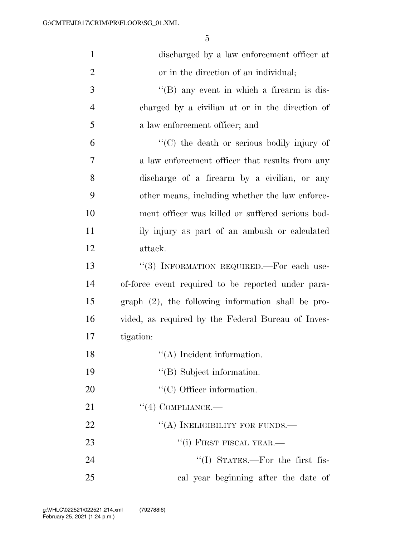| $\mathbf{1}$   | discharged by a law enforcement officer at              |
|----------------|---------------------------------------------------------|
| $\overline{2}$ | or in the direction of an individual;                   |
| 3              | $\lq\lq (B)$ any event in which a firearm is dis-       |
| $\overline{4}$ | charged by a civilian at or in the direction of         |
| 5              | a law enforcement officer; and                          |
| 6              | $\lq\lq$ (C) the death or serious bodily injury of      |
| 7              | a law enforcement officer that results from any         |
| 8              | discharge of a firearm by a civilian, or any            |
| 9              | other means, including whether the law enforce-         |
| 10             | ment officer was killed or suffered serious bod-        |
| 11             | ily injury as part of an ambush or calculated           |
| 12             | attack.                                                 |
| 13             | "(3) INFORMATION REQUIRED.—For each use-                |
| 14             | of-force event required to be reported under para-      |
| 15             | $graph$ $(2)$ , the following information shall be pro- |
| 16             | vided, as required by the Federal Bureau of Inves-      |
| 17             | tigation:                                               |
| 18             | $\lq\lq$ (A) Incident information.                      |
| 19             | "(B) Subject information.                               |
| 20             | $\lq\lq$ (C) Officer information.                       |
| 21             | $\lq(4)$ COMPLIANCE.—                                   |
| 22             | "(A) INELIGIBILITY FOR FUNDS.—                          |
| 23             | "(i) FIRST FISCAL YEAR.—                                |
| 24             | $\lq\lq$ (I) STATES.—For the first fis-                 |
| 25             | cal year beginning after the date of                    |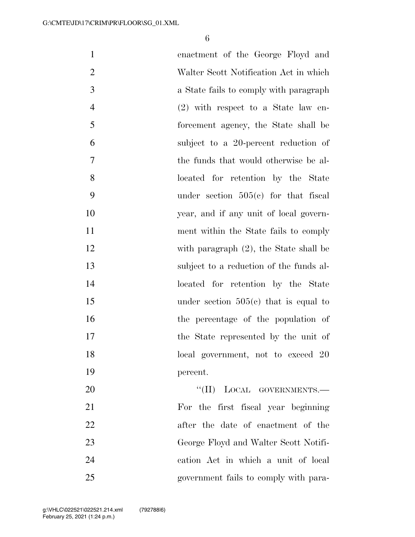| $\mathbf{1}$   | enactment of the George Floyd and         |
|----------------|-------------------------------------------|
| $\overline{2}$ | Walter Scott Notification Act in which    |
| 3              | a State fails to comply with paragraph    |
| $\overline{4}$ | $(2)$ with respect to a State law en-     |
| 5              | forcement agency, the State shall be      |
| 6              | subject to a 20-percent reduction of      |
| $\overline{7}$ | the funds that would otherwise be al-     |
| 8              | located for retention by the State        |
| 9              | under section $505(e)$ for that fiscal    |
| 10             | year, and if any unit of local govern-    |
| 11             | ment within the State fails to comply     |
| 12             | with paragraph $(2)$ , the State shall be |
| 13             | subject to a reduction of the funds al-   |
| 14             | located for retention by the State        |
| 15             | under section $505(e)$ that is equal to   |
| 16             | the percentage of the population of       |
| 17             | the State represented by the unit of      |
| 18             | local government, not to exceed 20        |
| 19             | percent.                                  |
| 20             | "(II) LOCAL GOVERNMENTS.-                 |
| 21             | For the first fiscal year beginning       |
| 22             | after the date of enactment of the        |
| 23             | George Floyd and Walter Scott Notifi-     |
| 24             | cation Act in which a unit of local       |
| 25             | government fails to comply with para-     |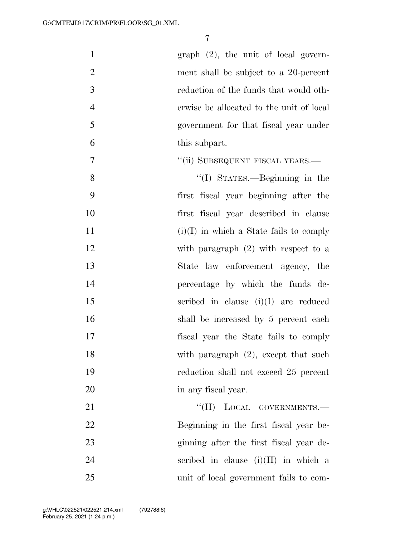| $\mathbf{1}$   | graph $(2)$ , the unit of local govern-   |
|----------------|-------------------------------------------|
| $\overline{2}$ | ment shall be subject to a 20-percent     |
| 3              | reduction of the funds that would oth-    |
| $\overline{4}$ | erwise be allocated to the unit of local  |
| 5              | government for that fiscal year under     |
| 6              | this subpart.                             |
| 7              | "(ii) SUBSEQUENT FISCAL YEARS.—           |
| 8              | $\lq\lq$ (I) STATES.—Beginning in the     |
| 9              | first fiscal year beginning after the     |
| 10             | first fiscal year described in clause     |
| 11             | $(i)(I)$ in which a State fails to comply |
| 12             | with paragraph $(2)$ with respect to a    |
| 13             | State law enforcement agency, the         |
| 14             | percentage by which the funds de-         |
| 15             | scribed in clause $(i)(I)$ are reduced    |
| 16             | shall be increased by 5 percent each      |
| 17             | fiscal year the State fails to comply     |
| 18             | with paragraph $(2)$ , except that such   |
| 19             | reduction shall not exceed 25 percent     |
| 20             | in any fiscal year.                       |
| 21             | "(II) LOCAL GOVERNMENTS.-                 |
| 22             | Beginning in the first fiscal year be-    |
| 23             | ginning after the first fiscal year de-   |
| 24             | scribed in clause $(i)(II)$ in which a    |
| 25             | unit of local government fails to com-    |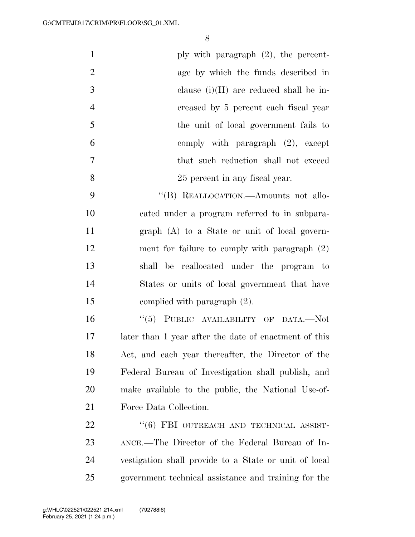| $\mathbf{1}$   | ply with paragraph $(2)$ , the percent-               |
|----------------|-------------------------------------------------------|
| $\overline{2}$ | age by which the funds described in                   |
| 3              | clause $(i)(II)$ are reduced shall be in-             |
| $\overline{4}$ | creased by 5 percent each fiscal year                 |
| 5              | the unit of local government fails to                 |
| 6              | comply with paragraph $(2)$ , except                  |
| $\tau$         | that such reduction shall not exceed                  |
| 8              | 25 percent in any fiscal year.                        |
| 9              | "(B) REALLOCATION.—Amounts not allo-                  |
| 10             | cated under a program referred to in subpara-         |
| 11             | graph (A) to a State or unit of local govern-         |
| 12             | ment for failure to comply with paragraph $(2)$       |
| 13             | shall be reallocated under the program to             |
| 14             | States or units of local government that have         |
| 15             | complied with paragraph (2).                          |
| 16             | "(5) PUBLIC AVAILABILITY OF DATA.—Not                 |
| 17             | later than 1 year after the date of enactment of this |
| 18             | Act, and each year thereafter, the Director of the    |
| 19             | Federal Bureau of Investigation shall publish, and    |
| 20             | make available to the public, the National Use-of-    |
| 21             | Force Data Collection.                                |
| 22             | "(6) FBI OUTREACH AND TECHNICAL ASSIST-               |
| 23             | ANCE.—The Director of the Federal Bureau of In-       |
| 24             | vestigation shall provide to a State or unit of local |
| 25             | government technical assistance and training for the  |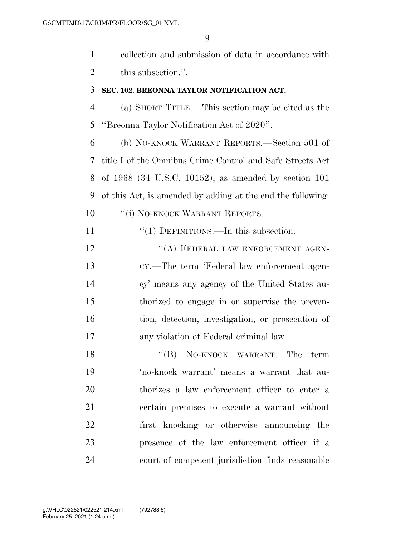collection and submission of data in accordance with 2 this subsection.".

## **SEC. 102. BREONNA TAYLOR NOTIFICATION ACT.**

 (a) SHORT TITLE.—This section may be cited as the ''Breonna Taylor Notification Act of 2020''.

 (b) NO-KNOCK WARRANT REPORTS.—Section 501 of title I of the Omnibus Crime Control and Safe Streets Act of 1968 (34 U.S.C. 10152), as amended by section 101 of this Act, is amended by adding at the end the following: 10 "'(i) NO-KNOCK WARRANT REPORTS.—

11 "(1) DEFINITIONS.—In this subsection:

12 "(A) FEDERAL LAW ENFORCEMENT AGEN- CY.—The term 'Federal law enforcement agen- cy' means any agency of the United States au- thorized to engage in or supervise the preven- tion, detection, investigation, or prosecution of any violation of Federal criminal law.

18 "(B) NO-KNOCK WARRANT.—The term 'no-knock warrant' means a warrant that au- thorizes a law enforcement officer to enter a certain premises to execute a warrant without first knocking or otherwise announcing the presence of the law enforcement officer if a court of competent jurisdiction finds reasonable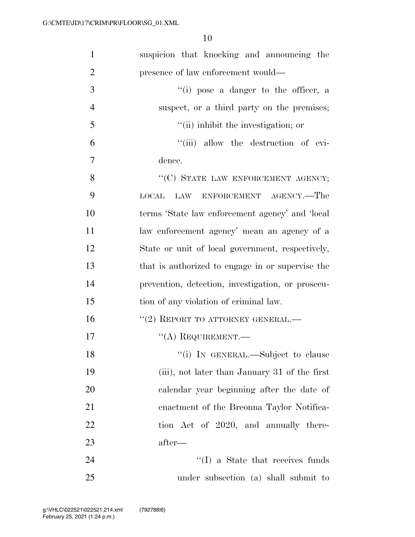| $\mathbf{1}$   | suspicion that knocking and announcing the        |
|----------------|---------------------------------------------------|
| $\overline{2}$ | presence of law enforcement would—                |
| 3              | "(i) pose a danger to the officer, a              |
| $\overline{4}$ | suspect, or a third party on the premises;        |
| 5              | "(ii) inhibit the investigation; or               |
| 6              | "(iii) allow the destruction of evi-              |
| $\overline{7}$ | dence.                                            |
| 8              | "(C) STATE LAW ENFORCEMENT AGENCY;                |
| 9              | LOCAL LAW ENFORCEMENT AGENCY.—The                 |
| 10             | terms 'State law enforcement agency' and 'local   |
| 11             | law enforcement agency' mean an agency of a       |
| 12             | State or unit of local government, respectively,  |
| 13             | that is authorized to engage in or supervise the  |
| 14             | prevention, detection, investigation, or prosecu- |
| 15             | tion of any violation of criminal law.            |
| 16             | $``(2)$ REPORT TO ATTORNEY GENERAL.—              |
| 17             | $\lq\lq$ REQUIREMENT.—                            |
| 18             | "(i) IN GENERAL.—Subject to clause                |
| 19             | (iii), not later than January 31 of the first     |
| 20             | calendar year beginning after the date of         |
| 21             | enactment of the Breonna Taylor Notifica-         |
| 22             | tion Act of 2020, and annually there-             |
| 23             | after—                                            |
| 24             | $\lq\lq$ (I) a State that receives funds          |
| 25             | under subsection (a) shall submit to              |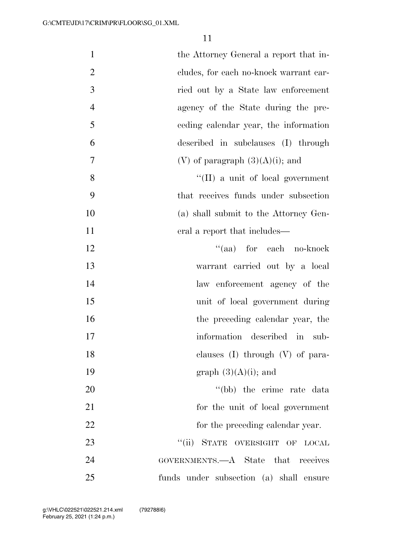| $\mathbf{1}$   | the Attorney General a report that in-       |
|----------------|----------------------------------------------|
| $\overline{2}$ | cludes, for each no-knock warrant car-       |
| 3              | ried out by a State law enforcement          |
| $\overline{4}$ | agency of the State during the pre-          |
| 5              | eeding calendar year, the information        |
| 6              | described in subclauses (I) through          |
| $\overline{7}$ | (V) of paragraph $(3)(A)(i)$ ; and           |
| 8              | $\lq\lq$ (II) a unit of local government     |
| 9              | that receives funds under subsection         |
| 10             | (a) shall submit to the Attorney Gen-        |
| 11             | eral a report that includes—                 |
| 12             | "(aa) for each no-knock                      |
| 13             | warrant carried out by a local               |
| 14             | law enforcement agency of the                |
| 15             | unit of local government during              |
| 16             | the preceding calendar year, the             |
| 17             | information described in<br>sub-             |
| 18             | clauses $(I)$ through $(V)$ of para-         |
| 19             | graph $(3)(A)(i)$ ; and                      |
| 20             | "(bb) the crime rate data                    |
| 21             | for the unit of local government             |
| 22             | for the preceding calendar year.             |
| 23             | ``(ii)<br>STATE OVERSIGHT OF<br><b>LOCAL</b> |
| 24             | GOVERNMENTS.—A State that<br>receives        |
| 25             | funds under subsection (a) shall ensure      |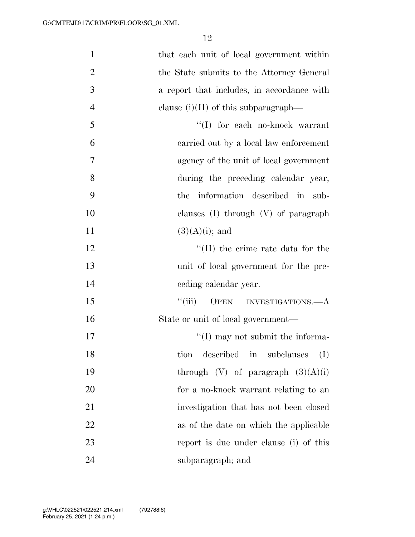| $\mathbf{1}$   | that each unit of local government within  |
|----------------|--------------------------------------------|
| $\overline{2}$ | the State submits to the Attorney General  |
| 3              | a report that includes, in accordance with |
| $\overline{4}$ | clause $(i)(II)$ of this subparagraph—     |
| 5              | $\lq\lq (I)$ for each no-knock warrant     |
| 6              | carried out by a local law enforcement     |
| $\tau$         | agency of the unit of local government     |
| 8              | during the preceding calendar year,        |
| 9              | information described in sub-<br>the       |
| 10             | clauses $(I)$ through $(V)$ of paragraph   |
| 11             | $(3)(A)(i)$ ; and                          |
| 12             | $\lq\lq$ (II) the crime rate data for the  |
| 13             | unit of local government for the pre-      |
| 14             | ceding calendar year.                      |
| 15             | ``(iii)<br>OPEN INVESTIGATIONS.—A          |
| 16             | State or unit of local government—         |
| 17             | $\lq\lq$ (I) may not submit the informa-   |
| 18             | described in subclauses<br>(I)<br>tion     |
| 19             | through $(V)$ of paragraph $(3)(A)(i)$     |
| 20             | for a no-knock warrant relating to an      |
| 21             | investigation that has not been closed     |
| 22             | as of the date on which the applicable     |
| 23             | report is due under clause (i) of this     |
| 24             | subparagraph; and                          |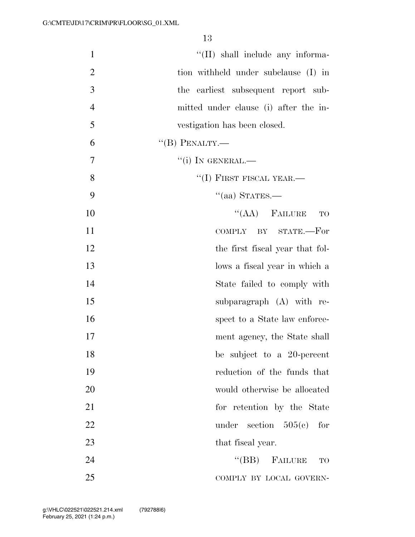| $\mathbf{1}$   | "(II) shall include any informa-      |
|----------------|---------------------------------------|
| $\overline{2}$ | tion withheld under subclause (I) in  |
| 3              | the earliest subsequent report sub-   |
| $\overline{4}$ | mitted under clause (i) after the in- |
| 5              | vestigation has been closed.          |
| 6              | $\lq\lq(B)$ PENALTY.—                 |
| 7              | $``(i)$ In GENERAL.—                  |
| 8              | $``(I)$ FIRST FISCAL YEAR.—           |
| 9              | $\cdot$ (aa) STATES.—                 |
| 10             | $\lq\lq (AA)$ FAILURE<br><b>TO</b>    |
| 11             | COMPLY BY STATE.-For                  |
| 12             | the first fiscal year that fol-       |
| 13             | lows a fiscal year in which a         |
| 14             | State failed to comply with           |
| 15             | subparagraph $(A)$ with re-           |
| 16             | spect to a State law enforce-         |
| 17             | ment agency, the State shall          |
| 18             | be subject to a 20-percent            |
| 19             | reduction of the funds that           |
| 20             | would otherwise be allocated          |
| 21             | for retention by the State            |
| 22             | under<br>section $505(e)$<br>for      |
| 23             | that fiscal year.                     |
| 24             | $\lq\lq(BB)$ FAILURE<br><b>TO</b>     |
| 25             | COMPLY BY LOCAL GOVERN-               |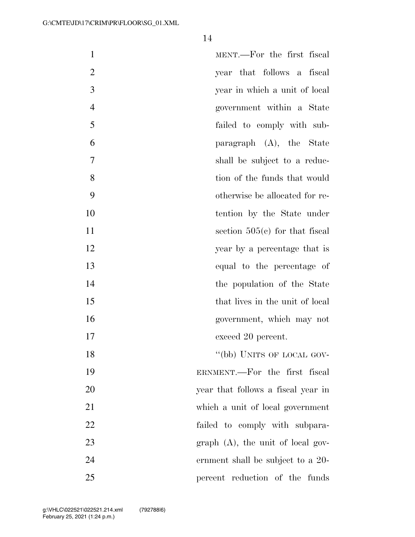| $\mathbf{1}$   | MENT.—For the first fiscal          |
|----------------|-------------------------------------|
| $\overline{2}$ | year that follows a fiscal          |
| 3              | year in which a unit of local       |
| $\overline{4}$ | government within a State           |
| 5              | failed to comply with sub-          |
| 6              | paragraph (A), the State            |
| $\overline{7}$ | shall be subject to a reduc-        |
| 8              | tion of the funds that would        |
| 9              | otherwise be allocated for re-      |
| 10             | tention by the State under          |
| 11             | section $505(e)$ for that fiscal    |
| 12             | year by a percentage that is        |
| 13             | equal to the percentage of          |
| 14             | the population of the State         |
| 15             | that lives in the unit of local     |
| 16             | government, which may not           |
| 17             | exceed 20 percent.                  |
| 18             | "(bb) UNITS OF LOCAL GOV-           |
| 19             | ERNMENT.—For the first fiscal       |
| 20             | year that follows a fiscal year in  |
| 21             | which a unit of local government    |
| 22             | failed to comply with subpara-      |
| 23             | $graph$ (A), the unit of local gov- |
| 24             | ernment shall be subject to a 20-   |
| 25             | percent reduction of the funds      |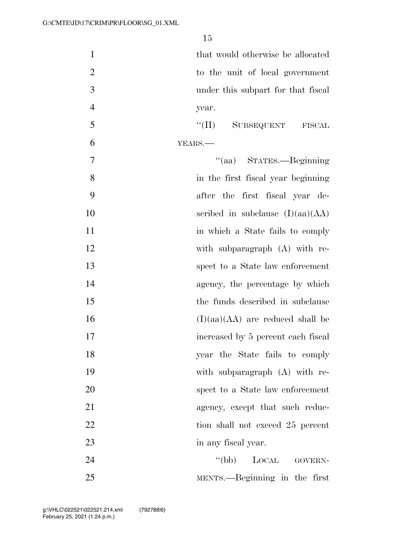| $\mathbf{1}$   | that would otherwise be allocated  |
|----------------|------------------------------------|
| $\overline{2}$ | to the unit of local government    |
| 3              | under this subpart for that fiscal |
| $\overline{4}$ | year.                              |
| 5              | $``(\Pi)$<br>SUBSEQUENT FISCAL     |
| 6              | YEARS.                             |
| $\overline{7}$ | "(aa) STATES.—Beginning            |
| 8              | in the first fiscal year beginning |
| 9              | after the first fiscal year de-    |
| 10             | scribed in subclause $(I)(aa)(AA)$ |
| 11             | in which a State fails to comply   |
| 12             | with subparagraph (A) with re-     |
| 13             | spect to a State law enforcement   |
| 14             | agency, the percentage by which    |
| 15             | the funds described in subclause   |
| 16             | $(I)(aa)(AA)$ are reduced shall be |
| 17             | increased by 5 percent each fiscal |
| 18             | year the State fails to comply     |
| 19             | with subparagraph $(A)$ with re-   |
| 20             | spect to a State law enforcement   |
| 21             | agency, except that such reduc-    |
| 22             | tion shall not exceed 25 percent   |
| 23             | in any fiscal year.                |
| 24             | $\lq\lq(bb)$<br>LOCAL GOVERN-      |
| 25             | MENTS.—Beginning in the first      |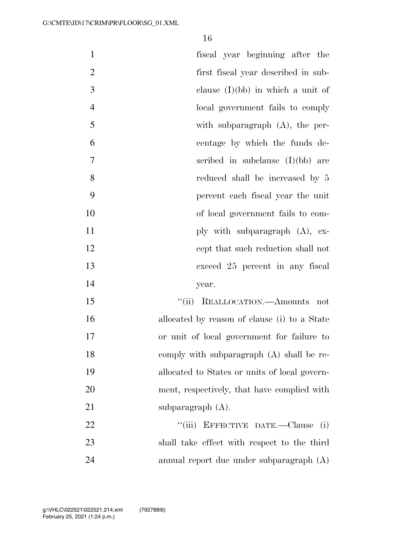| $\mathbf{1}$   | fiscal year beginning after the               |
|----------------|-----------------------------------------------|
| $\overline{2}$ | first fiscal year described in sub-           |
| 3              | clause $(I)(bb)$ in which a unit of           |
| $\overline{4}$ | local government fails to comply              |
| 5              | with subparagraph $(A)$ , the per-            |
| 6              | centage by which the funds de-                |
| 7              | scribed in subclause $(I)(bb)$ are            |
| 8              | reduced shall be increased by 5               |
| 9              | percent each fiscal year the unit             |
| 10             | of local government fails to com-             |
| 11             | ply with subparagraph $(A)$ , ex-             |
| 12             | cept that such reduction shall not            |
| 13             | exceed 25 percent in any fiscal               |
| 14             | year.                                         |
| 15             | "(ii) REALLOCATION.—Amounts not               |
| 16             | allocated by reason of clause (i) to a State  |
| 17             | or unit of local government for failure to    |
| 18             | comply with subparagraph (A) shall be re-     |
| 19             | allocated to States or units of local govern- |
| 20             | ment, respectively, that have complied with   |
| 21             | subparagraph $(A)$ .                          |
| 22             | "(iii) EFFECTIVE DATE.—Clause (i)             |
| 23             | shall take effect with respect to the third   |
| 24             | annual report due under subparagraph (A)      |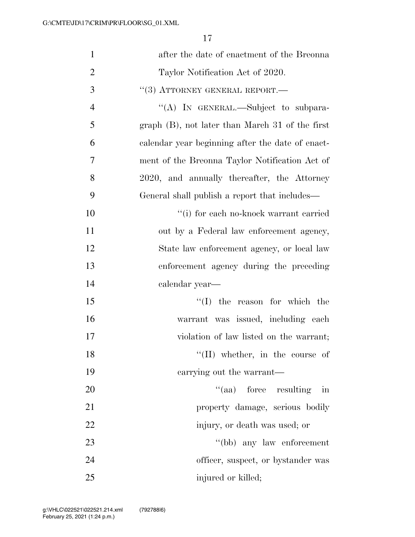| $\mathbf{1}$   | after the date of enactment of the Breonna         |
|----------------|----------------------------------------------------|
| $\overline{2}$ | Taylor Notification Act of 2020.                   |
| 3              | $``(3)$ ATTORNEY GENERAL REPORT.—                  |
| $\overline{4}$ | "(A) IN GENERAL.—Subject to subpara-               |
| 5              | graph $(B)$ , not later than March 31 of the first |
| 6              | calendar year beginning after the date of enact-   |
| 7              | ment of the Breonna Taylor Notification Act of     |
| 8              | 2020, and annually thereafter, the Attorney        |
| 9              | General shall publish a report that includes—      |
| 10             | "(i) for each no-knock warrant carried             |
| 11             | out by a Federal law enforcement agency,           |
| 12             | State law enforcement agency, or local law         |
| 13             | enforcement agency during the preceding            |
| 14             | calendar year—                                     |
| 15             | $\lq\lq$ the reason for which the                  |
| 16             | warrant was issued, including each                 |
| 17             | violation of law listed on the warrant;            |
| 18             | $\lq\lq$ (II) whether, in the course of            |
| 19             | carrying out the warrant—                          |
| 20             | $\lq\lq$ (aa) force resulting<br>in                |
| 21             | property damage, serious bodily                    |
| 22             | injury, or death was used; or                      |
| 23             | "(bb) any law enforcement                          |
| 24             | officer, suspect, or bystander was                 |
| 25             | injured or killed;                                 |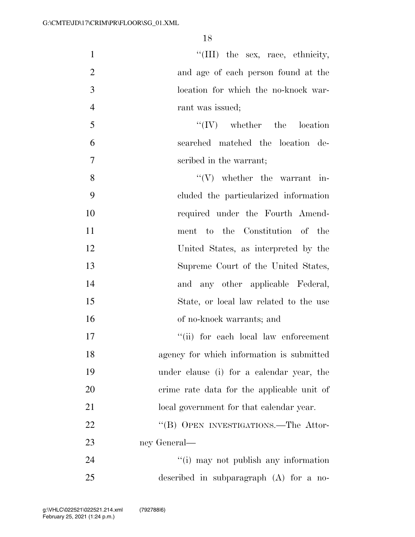$\text{``(III)}$  the sex, race, ethnicity, and age of each person found at the location for which the no-knock war-4 rant was issued;

 ''(IV) whether the location searched matched the location de-scribed in the warrant;

 $"({\rm V})$  whether the warrant in- cluded the particularized information 10 required under the Fourth Amend- ment to the Constitution of the United States, as interpreted by the Supreme Court of the United States, and any other applicable Federal, State, or local law related to the use of no-knock warrants; and

 $\frac{1}{10}$  for each local law enforcement agency for which information is submitted under clause (i) for a calendar year, the crime rate data for the applicable unit of 21 local government for that calendar year. 22 "(B) OPEN INVESTIGATIONS.—The Attor-ney General—

24 ''(i) may not publish any information described in subparagraph (A) for a no-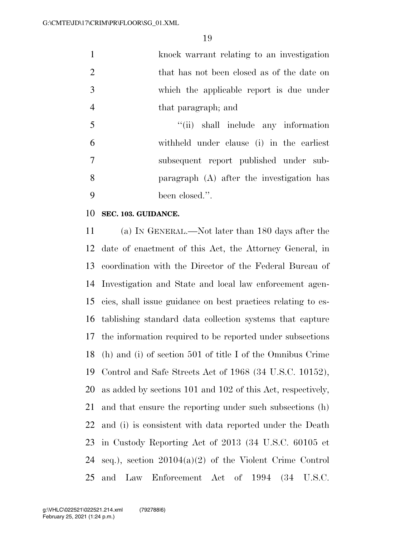| $\mathbf{1}$   | knock warrant relating to an investigation  |
|----------------|---------------------------------------------|
| 2              | that has not been closed as of the date on  |
| 3              | which the applicable report is due under    |
| $\overline{4}$ | that paragraph; and                         |
| 5              | "(ii) shall include any information         |
| 6              | withheld under clause (i) in the earliest   |
| $\overline{7}$ | subsequent report published under sub-      |
| 8              | paragraph $(A)$ after the investigation has |
| $\mathbf Q$    | been closed.".                              |

## **SEC. 103. GUIDANCE.**

 (a) IN GENERAL.—Not later than 180 days after the date of enactment of this Act, the Attorney General, in coordination with the Director of the Federal Bureau of Investigation and State and local law enforcement agen- cies, shall issue guidance on best practices relating to es- tablishing standard data collection systems that capture the information required to be reported under subsections (h) and (i) of section 501 of title I of the Omnibus Crime Control and Safe Streets Act of 1968 (34 U.S.C. 10152), as added by sections 101 and 102 of this Act, respectively, and that ensure the reporting under such subsections (h) and (i) is consistent with data reported under the Death in Custody Reporting Act of 2013 (34 U.S.C. 60105 et seq.), section 20104(a)(2) of the Violent Crime Control and Law Enforcement Act of 1994 (34 U.S.C.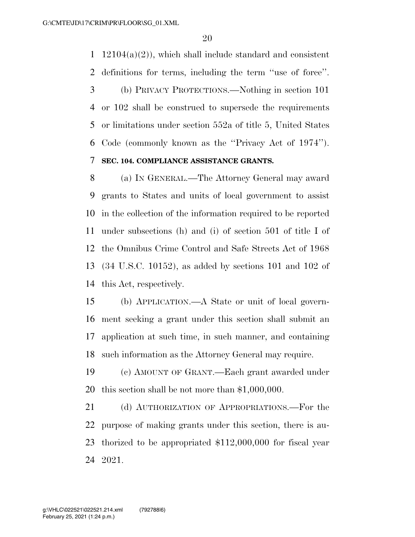1 12104(a)(2)), which shall include standard and consistent definitions for terms, including the term ''use of force''. (b) PRIVACY PROTECTIONS.—Nothing in section 101 or 102 shall be construed to supersede the requirements or limitations under section 552a of title 5, United States Code (commonly known as the ''Privacy Act of 1974''). **SEC. 104. COMPLIANCE ASSISTANCE GRANTS.** 

 (a) IN GENERAL.—The Attorney General may award grants to States and units of local government to assist in the collection of the information required to be reported under subsections (h) and (i) of section 501 of title I of the Omnibus Crime Control and Safe Streets Act of 1968 (34 U.S.C. 10152), as added by sections 101 and 102 of this Act, respectively.

 (b) APPLICATION.—A State or unit of local govern- ment seeking a grant under this section shall submit an application at such time, in such manner, and containing such information as the Attorney General may require.

 (c) AMOUNT OF GRANT.—Each grant awarded under this section shall be not more than \$1,000,000.

21 (d) AUTHORIZATION OF APPROPRIATIONS.—For the purpose of making grants under this section, there is au- thorized to be appropriated \$112,000,000 for fiscal year 2021.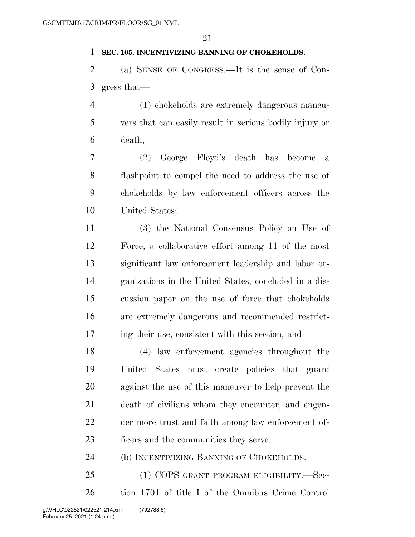## **SEC. 105. INCENTIVIZING BANNING OF CHOKEHOLDS.**

 (a) SENSE OF CONGRESS.—It is the sense of Con-gress that—

 (1) chokeholds are extremely dangerous maneu- vers that can easily result in serious bodily injury or death;

 (2) George Floyd's death has become a flashpoint to compel the need to address the use of chokeholds by law enforcement officers across the United States;

 (3) the National Consensus Policy on Use of Force, a collaborative effort among 11 of the most significant law enforcement leadership and labor or- ganizations in the United States, concluded in a dis- cussion paper on the use of force that chokeholds are extremely dangerous and recommended restrict-ing their use, consistent with this section; and

 (4) law enforcement agencies throughout the United States must create policies that guard against the use of this maneuver to help prevent the death of civilians whom they encounter, and engen- der more trust and faith among law enforcement of-ficers and the communities they serve.

(b) INCENTIVIZING BANNING OF CHOKEHOLDS.—

 (1) COPS GRANT PROGRAM ELIGIBILITY.—Sec-tion 1701 of title I of the Omnibus Crime Control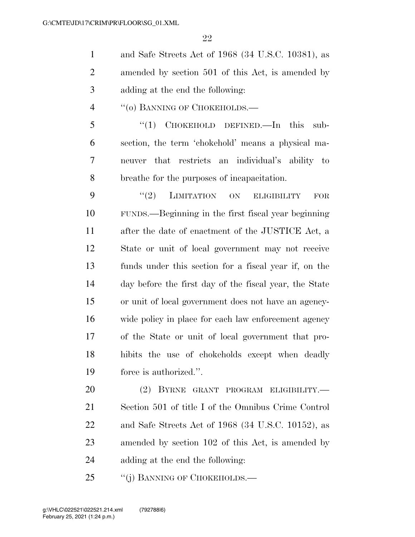and Safe Streets Act of 1968 (34 U.S.C. 10381), as amended by section 501 of this Act, is amended by adding at the end the following:

4 "(o) BANNING OF CHOKEHOLDS.—

5 "(1) CHOKEHOLD DEFINED.—In this sub- section, the term 'chokehold' means a physical ma- neuver that restricts an individual's ability to breathe for the purposes of incapacitation.

9 "(2) LIMITATION ON ELIGIBILITY FOR FUNDS.—Beginning in the first fiscal year beginning after the date of enactment of the JUSTICE Act, a State or unit of local government may not receive funds under this section for a fiscal year if, on the day before the first day of the fiscal year, the State or unit of local government does not have an agency- wide policy in place for each law enforcement agency of the State or unit of local government that pro- hibits the use of chokeholds except when deadly force is authorized.''.

 (2) BYRNE GRANT PROGRAM ELIGIBILITY.— Section 501 of title I of the Omnibus Crime Control and Safe Streets Act of 1968 (34 U.S.C. 10152), as amended by section 102 of this Act, is amended by adding at the end the following:

25 "(i) BANNING OF CHOKEHOLDS.—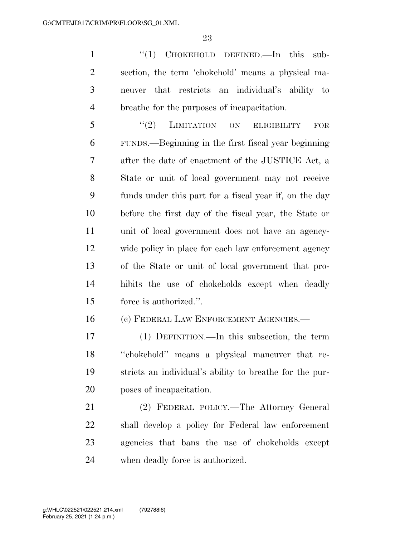1 "(1) CHOKEHOLD DEFINED.—In this sub- section, the term 'chokehold' means a physical ma- neuver that restricts an individual's ability to breathe for the purposes of incapacitation.

5 "(2) LIMITATION ON ELIGIBILITY FOR FUNDS.—Beginning in the first fiscal year beginning after the date of enactment of the JUSTICE Act, a State or unit of local government may not receive funds under this part for a fiscal year if, on the day before the first day of the fiscal year, the State or unit of local government does not have an agency- wide policy in place for each law enforcement agency of the State or unit of local government that pro- hibits the use of chokeholds except when deadly force is authorized.''.

(c) FEDERAL LAW ENFORCEMENT AGENCIES.—

 (1) DEFINITION.—In this subsection, the term ''chokehold'' means a physical maneuver that re- stricts an individual's ability to breathe for the pur-poses of incapacitation.

 (2) FEDERAL POLICY.—The Attorney General shall develop a policy for Federal law enforcement agencies that bans the use of chokeholds except when deadly force is authorized.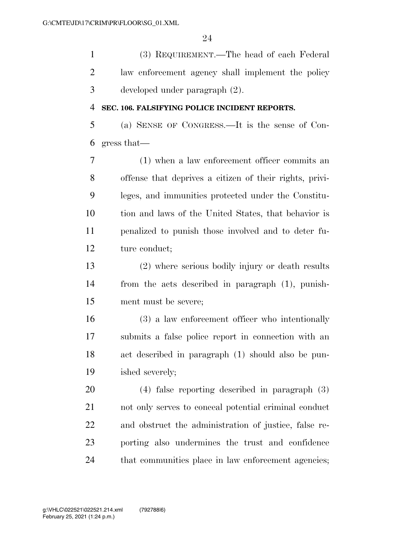(3) REQUIREMENT.—The head of each Federal law enforcement agency shall implement the policy developed under paragraph (2).

### **SEC. 106. FALSIFYING POLICE INCIDENT REPORTS.**

 (a) SENSE OF CONGRESS.—It is the sense of Con-gress that—

 (1) when a law enforcement officer commits an offense that deprives a citizen of their rights, privi- leges, and immunities protected under the Constitu- tion and laws of the United States, that behavior is penalized to punish those involved and to deter fu-ture conduct;

 (2) where serious bodily injury or death results from the acts described in paragraph (1), punish-ment must be severe;

 (3) a law enforcement officer who intentionally submits a false police report in connection with an act described in paragraph (1) should also be pun-ished severely;

 (4) false reporting described in paragraph (3) not only serves to conceal potential criminal conduct and obstruct the administration of justice, false re- porting also undermines the trust and confidence that communities place in law enforcement agencies;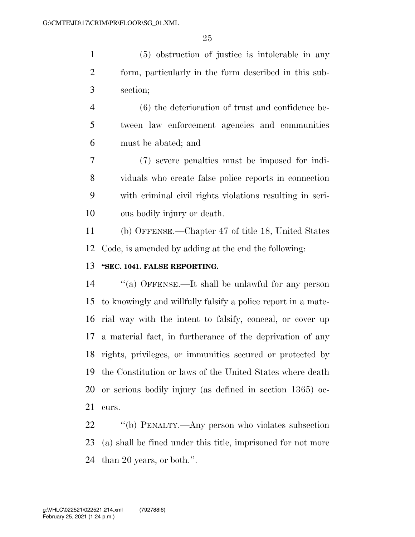(5) obstruction of justice is intolerable in any form, particularly in the form described in this sub-section;

 (6) the deterioration of trust and confidence be- tween law enforcement agencies and communities must be abated; and

 (7) severe penalties must be imposed for indi- viduals who create false police reports in connection with criminal civil rights violations resulting in seri-ous bodily injury or death.

 (b) OFFENSE.—Chapter 47 of title 18, United States Code, is amended by adding at the end the following:

## **''SEC. 1041. FALSE REPORTING.**

 ''(a) OFFENSE.—It shall be unlawful for any person to knowingly and willfully falsify a police report in a mate- rial way with the intent to falsify, conceal, or cover up a material fact, in furtherance of the deprivation of any rights, privileges, or immunities secured or protected by the Constitution or laws of the United States where death or serious bodily injury (as defined in section 1365) oc-curs.

 ''(b) PENALTY.—Any person who violates subsection (a) shall be fined under this title, imprisoned for not more than 20 years, or both.''.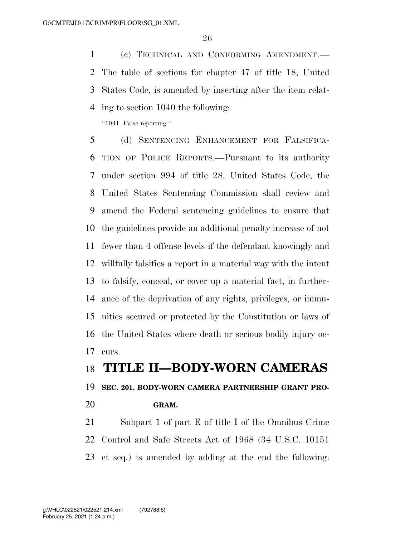(c) TECHNICAL AND CONFORMING AMENDMENT.— The table of sections for chapter 47 of title 18, United States Code, is amended by inserting after the item relat-ing to section 1040 the following:

''1041. False reporting.''.

 (d) SENTENCING ENHANCEMENT FOR FALSIFICA- TION OF POLICE REPORTS.—Pursuant to its authority under section 994 of title 28, United States Code, the United States Sentencing Commission shall review and amend the Federal sentencing guidelines to ensure that the guidelines provide an additional penalty increase of not fewer than 4 offense levels if the defendant knowingly and willfully falsifies a report in a material way with the intent to falsify, conceal, or cover up a material fact, in further- ance of the deprivation of any rights, privileges, or immu- nities secured or protected by the Constitution or laws of the United States where death or serious bodily injury oc-curs.

## **TITLE II—BODY-WORN CAMERAS**

**SEC. 201. BODY-WORN CAMERA PARTNERSHIP GRANT PRO-**

**GRAM.** 

 Subpart 1 of part E of title I of the Omnibus Crime Control and Safe Streets Act of 1968 (34 U.S.C. 10151 et seq.) is amended by adding at the end the following: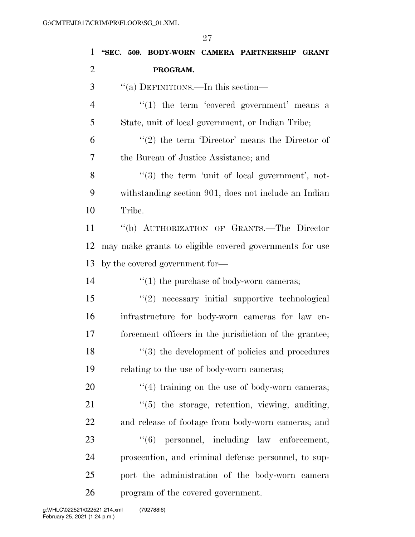| 1              | "SEC. 509. BODY-WORN CAMERA PARTNERSHIP GRANT                   |
|----------------|-----------------------------------------------------------------|
| $\overline{2}$ | PROGRAM.                                                        |
| 3              | "(a) DEFINITIONS.—In this section—                              |
| $\overline{4}$ | $\lq(1)$ the term 'covered government' means a                  |
| 5              | State, unit of local government, or Indian Tribe;               |
| 6              | $\lq(2)$ the term 'Director' means the Director of              |
| 7              | the Bureau of Justice Assistance; and                           |
| 8              | "(3) the term 'unit of local government', not-                  |
| 9              | withstanding section 901, does not include an Indian            |
| 10             | Tribe.                                                          |
| 11             | "(b) AUTHORIZATION OF GRANTS.-The Director                      |
| 12             | may make grants to eligible covered governments for use         |
| 13             | by the covered government for—                                  |
| 14             | $\lq(1)$ the purchase of body-worn cameras;                     |
| 15             | "(2) necessary initial supportive technological                 |
| 16             | infrastructure for body-worn cameras for law en-                |
| 17             | forcement officers in the jurisdiction of the grantee;          |
| 18             | $\cdot\cdot\cdot(3)$ the development of policies and procedures |
| 19             | relating to the use of body-worn cameras;                       |
| 20             | $\lq(4)$ training on the use of body-worn cameras;              |
| 21             | $\lq(5)$ the storage, retention, viewing, auditing,             |
| 22             | and release of footage from body-worn cameras; and              |
| 23             | "(6) personnel, including law enforcement,                      |
| 24             | prosecution, and criminal defense personnel, to sup-            |
| 25             | port the administration of the body-worn camera                 |
| 26             | program of the covered government.                              |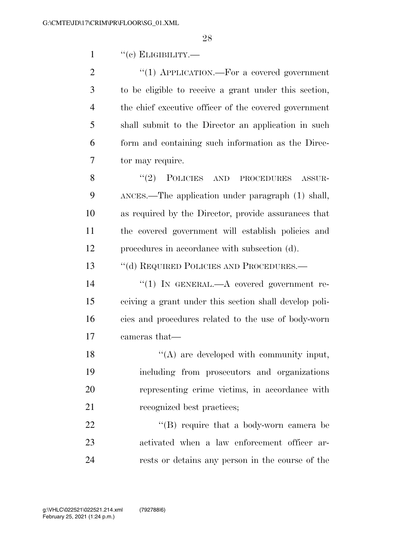"(c) ELIGIBILITY.—

 $\text{``(1)}$  APPLICATION.—For a covered government to be eligible to receive a grant under this section, the chief executive officer of the covered government shall submit to the Director an application in such form and containing such information as the Direc-tor may require.

8 "(2) POLICIES AND PROCEDURES ASSUR- ANCES.—The application under paragraph (1) shall, as required by the Director, provide assurances that the covered government will establish policies and procedures in accordance with subsection (d).

13 "(d) REQUIRED POLICIES AND PROCEDURES.—

 $(1)$  In GENERAL.—A covered government re- ceiving a grant under this section shall develop poli- cies and procedures related to the use of body-worn cameras that—

18 "(A) are developed with community input, including from prosecutors and organizations representing crime victims, in accordance with 21 recognized best practices;

22  $\langle$  (B) require that a body-worn camera be activated when a law enforcement officer ar-rests or detains any person in the course of the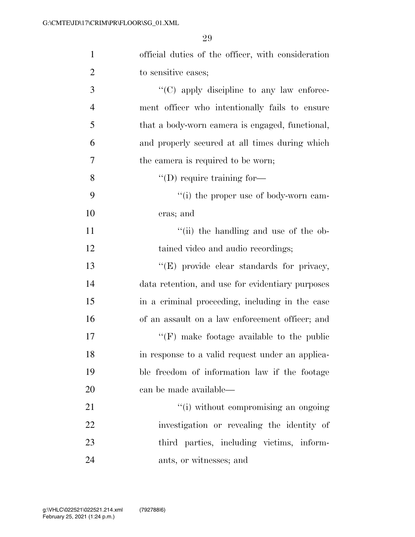| $\mathbf{1}$   | official duties of the officer, with consideration |
|----------------|----------------------------------------------------|
| $\overline{2}$ | to sensitive cases;                                |
| 3              | $\lq\lq$ (C) apply discipline to any law enforce-  |
| $\overline{4}$ | ment officer who intentionally fails to ensure     |
| 5              | that a body-worn camera is engaged, functional,    |
| 6              | and properly secured at all times during which     |
| 7              | the camera is required to be worn;                 |
| 8              | $\lq\lq$ (D) require training for-                 |
| 9              | "(i) the proper use of body-worn cam-              |
| 10             | eras; and                                          |
| 11             | "(ii) the handling and use of the ob-              |
| 12             | tained video and audio recordings;                 |
| 13             | "(E) provide clear standards for privacy,          |
| 14             | data retention, and use for evidentiary purposes   |
| 15             | in a criminal proceeding, including in the case    |
| 16             | of an assault on a law enforcement officer; and    |
| 17             | $``(F)$ make footage available to the public       |
| 18             | in response to a valid request under an applica-   |
| 19             | ble freedom of information law if the footage      |
| 20             | can be made available—                             |
| 21             | "(i) without compromising an ongoing               |
| 22             | investigation or revealing the identity of         |
| 23             | third parties, including victims, inform-          |
| 24             | ants, or witnesses; and                            |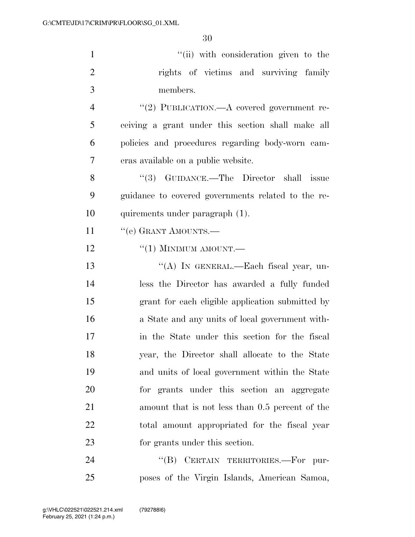| $\mathbf{1}$   | "(ii) with consideration given to the              |
|----------------|----------------------------------------------------|
| $\overline{2}$ | rights of victims and surviving family             |
| 3              | members.                                           |
| $\overline{4}$ | "(2) PUBLICATION.—A covered government re-         |
| 5              | ceiving a grant under this section shall make all  |
| 6              | policies and procedures regarding body-worn cam-   |
| 7              | eras available on a public website.                |
| 8              | "(3) GUIDANCE.—The Director shall issue            |
| 9              | guidance to covered governments related to the re- |
| 10             | quirements under paragraph (1).                    |
| 11             | "(e) GRANT AMOUNTS.—                               |
| 12             | $``(1)$ MINIMUM AMOUNT.—                           |
| 13             | "(A) IN GENERAL.—Each fiscal year, un-             |
| 14             | less the Director has awarded a fully funded       |
| 15             | grant for each eligible application submitted by   |
| 16             | a State and any units of local government with-    |
| 17             | in the State under this section for the fiscal     |
| 18             | year, the Director shall allocate to the State     |
| 19             | and units of local government within the State     |
| 20             | for grants under this section an aggregate         |
| 21             | amount that is not less than 0.5 percent of the    |
| 22             | total amount appropriated for the fiscal year      |
| 23             | for grants under this section.                     |
| 24             | CERTAIN TERRITORIES.-For pur-<br>$\lq\lq (B)$      |

poses of the Virgin Islands, American Samoa,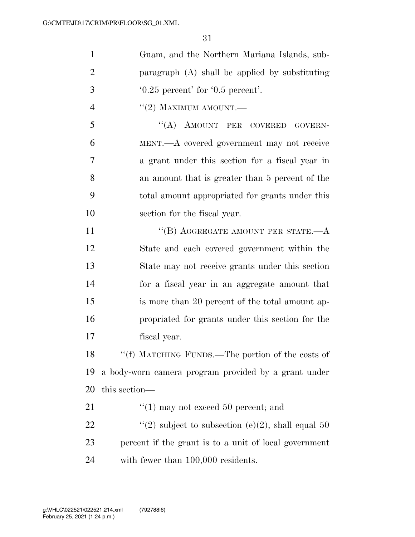| $\mathbf{1}$   | Guam, and the Northern Mariana Islands, sub-          |
|----------------|-------------------------------------------------------|
| $\overline{2}$ | paragraph (A) shall be applied by substituting        |
| 3              | $0.25$ percent' for $0.5$ percent'.                   |
| $\overline{4}$ | $``(2)$ MAXIMUM AMOUNT.—                              |
| 5              | "(A) AMOUNT PER COVERED GOVERN-                       |
| 6              | MENT.—A covered government may not receive            |
| 7              | a grant under this section for a fiscal year in       |
| 8              | an amount that is greater than 5 percent of the       |
| 9              | total amount appropriated for grants under this       |
| 10             | section for the fiscal year.                          |
| 11             | "(B) AGGREGATE AMOUNT PER STATE. $-A$                 |
| 12             | State and each covered government within the          |
| 13             | State may not receive grants under this section       |
| 14             | for a fiscal year in an aggregate amount that         |
| 15             | is more than 20 percent of the total amount ap-       |
| 16             | propriated for grants under this section for the      |
| 17             | fiscal year.                                          |
| 18             | "(f) MATCHING FUNDS.—The portion of the costs of      |
| 19             | a body-worn camera program provided by a grant under  |
| 20             | this section—                                         |
| 21             | $(1)$ may not exceed 50 percent; and                  |
| 22             | "(2) subject to subsection (e)(2), shall equal 50     |
| 23             | percent if the grant is to a unit of local government |
| 24             | with fewer than 100,000 residents.                    |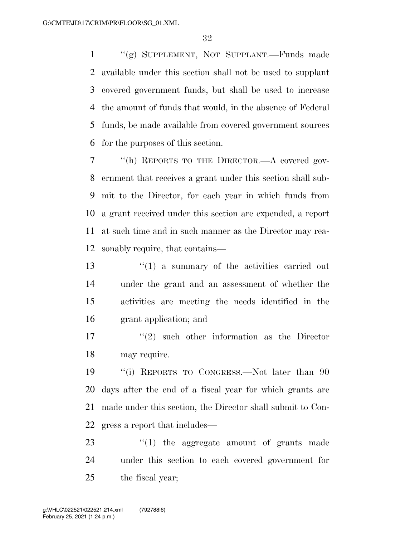''(g) SUPPLEMENT, NOT SUPPLANT.—Funds made available under this section shall not be used to supplant covered government funds, but shall be used to increase the amount of funds that would, in the absence of Federal funds, be made available from covered government sources for the purposes of this section.

 ''(h) REPORTS TO THE DIRECTOR.—A covered gov- ernment that receives a grant under this section shall sub- mit to the Director, for each year in which funds from a grant received under this section are expended, a report at such time and in such manner as the Director may rea-sonably require, that contains—

13 ''(1) a summary of the activities carried out under the grant and an assessment of whether the activities are meeting the needs identified in the grant application; and

17 ''(2) such other information as the Director may require.

 ''(i) REPORTS TO CONGRESS.—Not later than 90 days after the end of a fiscal year for which grants are made under this section, the Director shall submit to Con-gress a report that includes—

23 '(1) the aggregate amount of grants made under this section to each covered government for the fiscal year;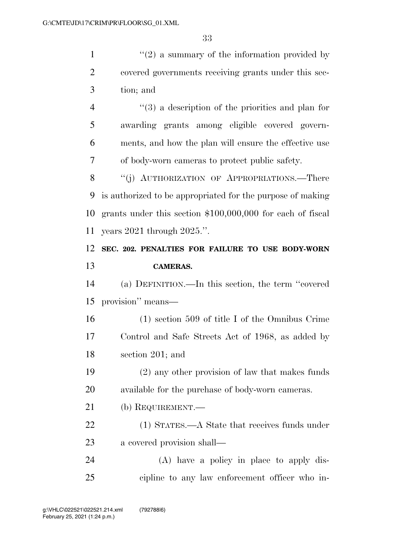$(2)$  a summary of the information provided by covered governments receiving grants under this sec- tion; and ''(3) a description of the priorities and plan for awarding grants among eligible covered govern-

 ments, and how the plan will ensure the effective use of body-worn cameras to protect public safety.

8 "(j) AUTHORIZATION OF APPROPRIATIONS.—There is authorized to be appropriated for the purpose of making grants under this section \$100,000,000 for each of fiscal years 2021 through 2025.''.

## **SEC. 202. PENALTIES FOR FAILURE TO USE BODY-WORN CAMERAS.**

 (a) DEFINITION.—In this section, the term ''covered provision'' means—

 (1) section 509 of title I of the Omnibus Crime Control and Safe Streets Act of 1968, as added by section 201; and

 (2) any other provision of law that makes funds available for the purchase of body-worn cameras.

- (b) REQUIREMENT.—
- (1) STATES.—A State that receives funds under a covered provision shall—

 (A) have a policy in place to apply dis-cipline to any law enforcement officer who in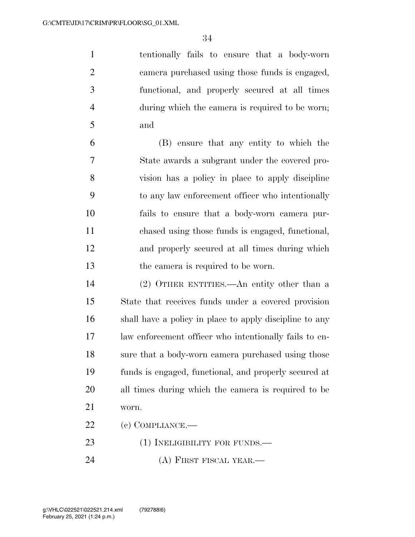tentionally fails to ensure that a body-worn camera purchased using those funds is engaged, functional, and properly secured at all times during which the camera is required to be worn; and

 (B) ensure that any entity to which the State awards a subgrant under the covered pro- vision has a policy in place to apply discipline to any law enforcement officer who intentionally fails to ensure that a body-worn camera pur- chased using those funds is engaged, functional, and properly secured at all times during which the camera is required to be worn.

 (2) OTHER ENTITIES.—An entity other than a State that receives funds under a covered provision shall have a policy in place to apply discipline to any law enforcement officer who intentionally fails to en- sure that a body-worn camera purchased using those funds is engaged, functional, and properly secured at all times during which the camera is required to be worn.

(c) COMPLIANCE.—

23 (1) INELIGIBILITY FOR FUNDS.—

(A) FIRST FISCAL YEAR.—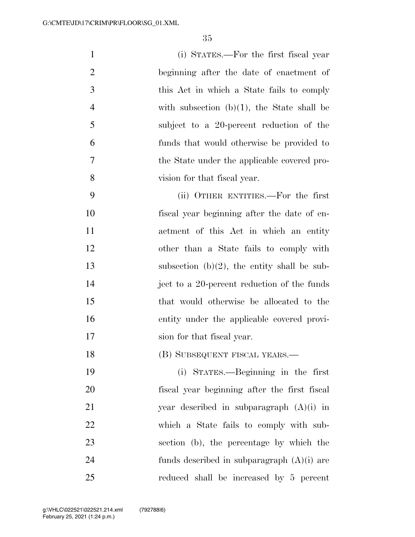| $\mathbf{1}$   | (i) STATES.—For the first fiscal year          |
|----------------|------------------------------------------------|
| $\overline{2}$ | beginning after the date of enactment of       |
| 3              | this Act in which a State fails to comply      |
| $\overline{4}$ | with subsection $(b)(1)$ , the State shall be  |
| 5              | subject to a 20-percent reduction of the       |
| 6              | funds that would otherwise be provided to      |
| 7              | the State under the applicable covered pro-    |
| 8              | vision for that fiscal year.                   |
| 9              | (ii) OTHER ENTITIES.—For the first             |
| 10             | fiscal year beginning after the date of en-    |
| 11             | actment of this Act in which an entity         |
| 12             | other than a State fails to comply with        |
| 13             | subsection $(b)(2)$ , the entity shall be sub- |
| 14             | ject to a 20-percent reduction of the funds    |
| 15             | that would otherwise be allocated to the       |
| 16             | entity under the applicable covered provi-     |
| 17             | sion for that fiscal year.                     |
| 18             | (B) SUBSEQUENT FISCAL YEARS.—                  |
| 19             | (i) STATES.—Beginning in the first             |
| 20             | fiscal year beginning after the first fiscal   |
| 21             | year described in subparagraph $(A)(i)$ in     |
| 22             | which a State fails to comply with sub-        |

 which a State fails to comply with sub- section (b), the percentage by which the funds described in subparagraph (A)(i) are reduced shall be increased by 5 percent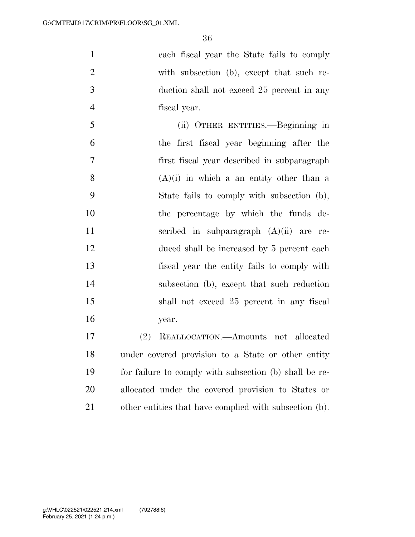| $\mathbf{1}$   | each fiscal year the State fails to comply             |
|----------------|--------------------------------------------------------|
| $\overline{2}$ | with subsection (b), except that such re-              |
| 3              | duction shall not exceed 25 percent in any             |
| $\overline{4}$ | fiscal year.                                           |
| 5              | (ii) OTHER ENTITIES.—Beginning in                      |
| 6              | the first fiscal year beginning after the              |
| 7              | first fiscal year described in subparagraph            |
| 8              | $(A)(i)$ in which a an entity other than a             |
| 9              | State fails to comply with subsection (b),             |
| 10             | the percentage by which the funds de-                  |
| 11             | scribed in subparagraph $(A)(ii)$ are re-              |
| 12             | duced shall be increased by 5 percent each             |
| 13             | fiscal year the entity fails to comply with            |
| 14             | subsection (b), except that such reduction             |
| 15             | shall not exceed 25 percent in any fiscal              |
| 16             | year.                                                  |
| 17             | REALLOCATION.—Amounts not allocated<br>(2)             |
| 18             | under covered provision to a State or other entity     |
| 19             | for failure to comply with subsection (b) shall be re- |
| 20             | allocated under the covered provision to States or     |

other entities that have complied with subsection (b).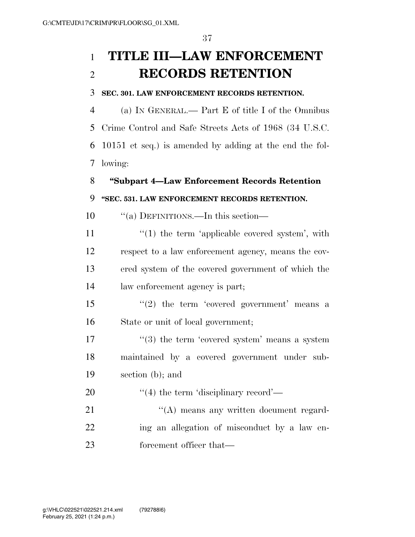# **TITLE III—LAW ENFORCEMENT RECORDS RETENTION**

#### **SEC. 301. LAW ENFORCEMENT RECORDS RETENTION.**

 (a) IN GENERAL.— Part E of title I of the Omnibus Crime Control and Safe Streets Acts of 1968 (34 U.S.C. 10151 et seq.) is amended by adding at the end the fol-lowing:

# **''Subpart 4—Law Enforcement Records Retention**

# **''SEC. 531. LAW ENFORCEMENT RECORDS RETENTION.**

10  $\frac{10}{10}$   $\frac{10}{10}$  DEFINITIONS.—In this section—

11 ''(1) the term 'applicable covered system', with respect to a law enforcement agency, means the cov- ered system of the covered government of which the law enforcement agency is part;

15  $(2)$  the term 'covered government' means a State or unit of local government;

17  $\frac{17}{2}$   $\frac{17}{2}$  the term 'covered system' means a system maintained by a covered government under sub-section (b); and

20  $\frac{4}{4}$  the term 'disciplinary record'—

21 ''(A) means any written document regard- ing an allegation of misconduct by a law en-23 forcement officer that—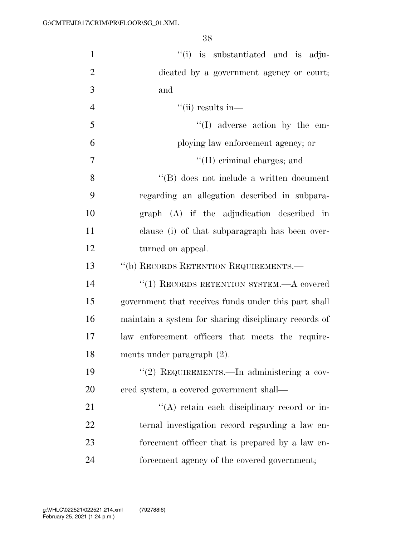| $\mathbf{1}$   | "(i) is substantiated and is adju-                    |
|----------------|-------------------------------------------------------|
| $\overline{2}$ | dicated by a government agency or court;              |
| 3              | and                                                   |
| $\overline{4}$ | $``(ii)$ results in—                                  |
| 5              | $\lq\lq$ adverse action by the em-                    |
| 6              | ploying law enforcement agency; or                    |
| $\overline{7}$ | $\lq\lq$ (II) criminal charges; and                   |
| 8              | "(B) does not include a written document              |
| 9              | regarding an allegation described in subpara-         |
| 10             | graph (A) if the adjudication described in            |
| 11             | clause (i) of that subparagraph has been over-        |
| 12             | turned on appeal.                                     |
| 13             | "(b) RECORDS RETENTION REQUIREMENTS.-                 |
| 14             | $``(1)$ RECORDS RETENTION SYSTEM.—A covered           |
| 15             | government that receives funds under this part shall  |
| 16             | maintain a system for sharing disciplinary records of |
| 17             | law enforcement officers that meets the require-      |
| 18             | ments under paragraph $(2)$ .                         |
| 19             | "(2) REQUIREMENTS.—In administering a cov-            |
| 20             | ered system, a covered government shall—              |
| 21             | "(A) retain each disciplinary record or in-           |
| 22             | ternal investigation record regarding a law en-       |
| 23             | forcement officer that is prepared by a law en-       |
| 24             | forcement agency of the covered government;           |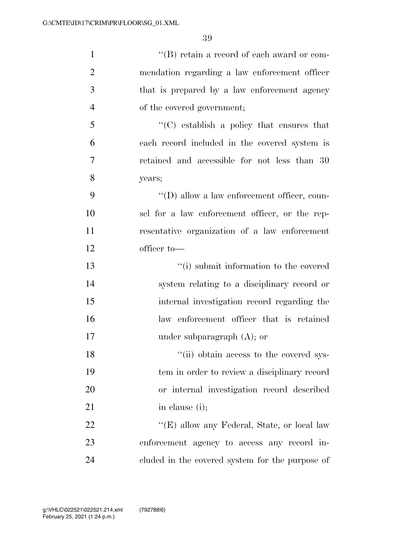| $\mathbf{1}$   | $``$ (B) retain a record of each award or com-      |
|----------------|-----------------------------------------------------|
| $\overline{2}$ | mendation regarding a law enforcement officer       |
| 3              | that is prepared by a law enforcement agency        |
| $\overline{4}$ | of the covered government;                          |
| 5              | $\lq\lq$ establish a policy that ensures that       |
| 6              | each record included in the covered system is       |
| 7              | retained and accessible for not less than 30        |
| 8              | years;                                              |
| 9              | $\lq\lq$ (D) allow a law enforcement officer, coun- |
| 10             | sel for a law enforcement officer, or the rep-      |
| 11             | resentative organization of a law enforcement       |
| 12             | officer to-                                         |
| 13             | "(i) submit information to the covered              |
| 14             | system relating to a disciplinary record or         |
| 15             | internal investigation record regarding the         |
| 16             | law enforcement officer that is retained            |
| 17             | under subparagraph $(A)$ ; or                       |
| 18             | "(ii) obtain access to the covered sys-             |
| 19             | tem in order to review a disciplinary record        |
| 20             | or internal investigation record described          |
| 21             | in clause (i);                                      |
| 22             | "(E) allow any Federal, State, or local law         |
| 23             | enforcement agency to access any record in-         |
| 24             | cluded in the covered system for the purpose of     |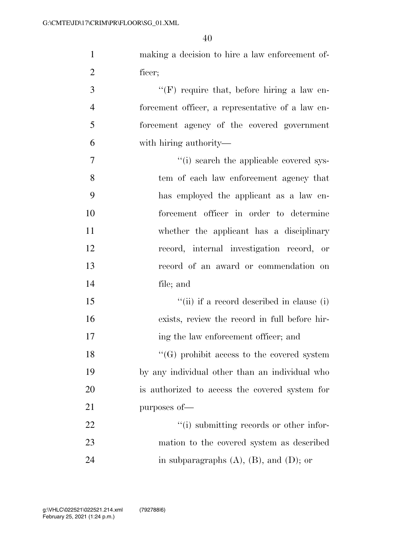| $\mathbf{1}$   | making a decision to hire a law enforcement of-   |
|----------------|---------------------------------------------------|
| $\overline{2}$ | ficer;                                            |
| 3              | "(F) require that, before hiring a law en-        |
| $\overline{4}$ | forcement officer, a representative of a law en-  |
| 5              | forcement agency of the covered government        |
| 6              | with hiring authority—                            |
| 7              | "(i) search the applicable covered sys-           |
| 8              | tem of each law enforcement agency that           |
| 9              | has employed the applicant as a law en-           |
| 10             | forcement officer in order to determine           |
| 11             | whether the applicant has a disciplinary          |
| 12             | record, internal investigation record, or         |
| 13             | record of an award or commendation on             |
| 14             | file; and                                         |
| 15             | "(ii) if a record described in clause (i)         |
| 16             | exists, review the record in full before hir-     |
| 17             | ing the law enforcement officer; and              |
| 18             | $\lq\lq(G)$ prohibit access to the covered system |
| 19             | by any individual other than an individual who    |
| 20             | is authorized to access the covered system for    |
| 21             | purposes of-                                      |
| 22             | "(i) submitting records or other infor-           |
| 23             | mation to the covered system as described         |
| 24             | in subparagraphs $(A)$ , $(B)$ , and $(D)$ ; or   |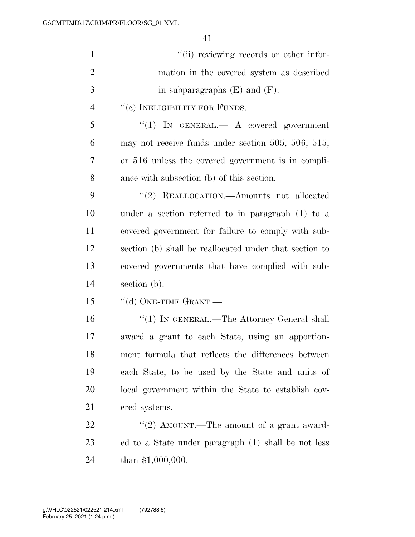| $\mathbf{1}$   | "(ii) reviewing records or other infor-                 |
|----------------|---------------------------------------------------------|
| $\overline{2}$ | mation in the covered system as described               |
| 3              | in subparagraphs $(E)$ and $(F)$ .                      |
| $\overline{4}$ | "(c) INELIGIBILITY FOR FUNDS.—                          |
| 5              | "(1) IN GENERAL. $\longrightarrow$ A covered government |
| 6              | may not receive funds under section 505, 506, 515,      |
| $\overline{7}$ | or 516 unless the covered government is in compli-      |
| 8              | ance with subsection (b) of this section.               |
| 9              | "(2) REALLOCATION.—Amounts not allocated                |
| 10             | under a section referred to in paragraph (1) to a       |
| 11             | covered government for failure to comply with sub-      |
| 12             | section (b) shall be reallocated under that section to  |
| 13             | covered governments that have complied with sub-        |
| 14             | section (b).                                            |
| 15             | $``$ (d) ONE-TIME GRANT.—                               |
| 16             | $``(1)$ In GENERAL.—The Attorney General shall          |
| 17             | award a grant to each State, using an apportion-        |
| 18             | ment formula that reflects the differences between      |
| 19             | each State, to be used by the State and units of        |
| 20             | local government within the State to establish cov-     |
| 21             | ered systems.                                           |
| 22             | "(2) AMOUNT.—The amount of a grant award-               |
| 23             | ed to a State under paragraph (1) shall be not less     |
| 24             | than $$1,000,000$ .                                     |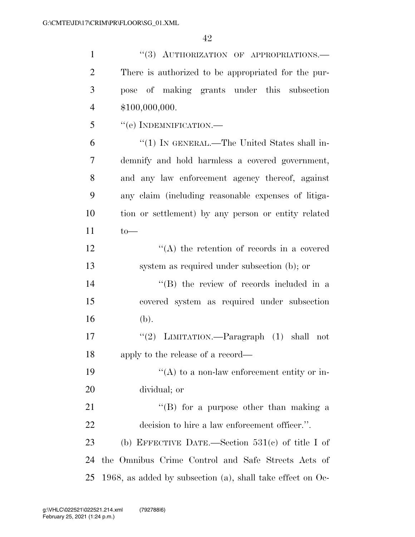| $\mathbf{1}$   | "(3) AUTHORIZATION OF APPROPRIATIONS.-                        |
|----------------|---------------------------------------------------------------|
| $\overline{2}$ | There is authorized to be appropriated for the pur-           |
| 3              | pose of making grants under this subsection                   |
| $\overline{4}$ | \$100,000,000.                                                |
| 5              | $``$ (e) INDEMNIFICATION.—                                    |
| 6              | "(1) IN GENERAL.—The United States shall in-                  |
| $\overline{7}$ | demnify and hold harmless a covered government,               |
| 8              | and any law enforcement agency thereof, against               |
| 9              | any claim (including reasonable expenses of litiga-           |
| 10             | tion or settlement) by any person or entity related           |
| 11             | $to-$                                                         |
| 12             | $\lq\lq$ the retention of records in a covered                |
| 13             | system as required under subsection (b); or                   |
| 14             | "(B) the review of records included in a                      |
| 15             | covered system as required under subsection                   |
| 16             | (b).                                                          |
| 17             | "(2) LIMITATION.—Paragraph $(1)$ shall not                    |
| 18             | apply to the release of a record—                             |
| 19             | $\lq\lq$ to a non-law enforcement entity or in-               |
| <b>20</b>      | dividual; or                                                  |
| 21             | $\lq\lq (B)$ for a purpose other than making a                |
| 22             | decision to hire a law enforcement officer.".                 |
| 23             | (b) EFFECTIVE DATE.—Section $531(e)$ of title I of            |
| 24             | the Omnibus Crime Control and Safe Streets Acts of            |
| 25             | 1968, as added by subsection (a), shall take effect on $Oe$ - |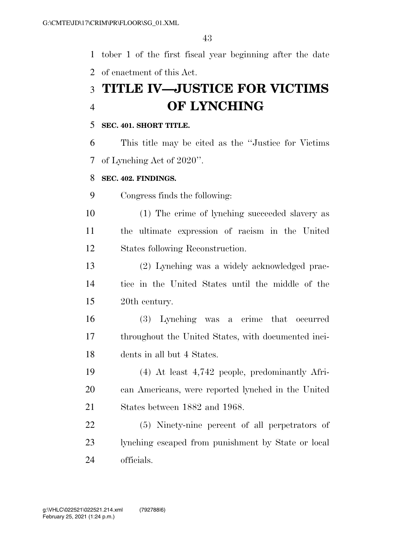tober 1 of the first fiscal year beginning after the date of enactment of this Act.

# **TITLE IV—JUSTICE FOR VICTIMS OF LYNCHING**

#### **SEC. 401. SHORT TITLE.**

 This title may be cited as the ''Justice for Victims of Lynching Act of 2020''.

#### **SEC. 402. FINDINGS.**

Congress finds the following:

 (1) The crime of lynching succeeded slavery as the ultimate expression of racism in the United States following Reconstruction.

 (2) Lynching was a widely acknowledged prac- tice in the United States until the middle of the 20th century.

 (3) Lynching was a crime that occurred throughout the United States, with documented inci-dents in all but 4 States.

 (4) At least 4,742 people, predominantly Afri- can Americans, were reported lynched in the United States between 1882 and 1968.

 (5) Ninety-nine percent of all perpetrators of lynching escaped from punishment by State or local officials.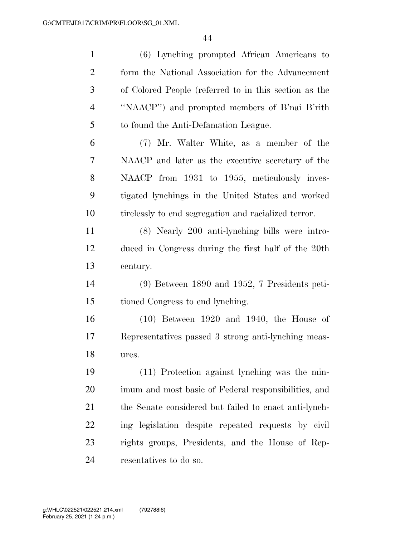| $\mathbf{1}$   | (6) Lynching prompted African Americans to            |
|----------------|-------------------------------------------------------|
| $\overline{2}$ | form the National Association for the Advancement     |
| 3              | of Colored People (referred to in this section as the |
| $\overline{4}$ | "NAACP") and prompted members of B'nai B'rith         |
| 5              | to found the Anti-Defamation League.                  |
| 6              | (7) Mr. Walter White, as a member of the              |
| 7              | NAACP and later as the executive secretary of the     |
| 8              | NAACP from 1931 to 1955, meticulously inves-          |
| 9              | tigated lynchings in the United States and worked     |
| 10             | tirelessly to end segregation and racialized terror.  |
| 11             | (8) Nearly 200 anti-lynching bills were intro-        |
| 12             | duced in Congress during the first half of the 20th   |
| 13             | century.                                              |
| 14             | $(9)$ Between 1890 and 1952, 7 Presidents peti-       |
| 15             | tioned Congress to end lynching.                      |
| 16             | $(10)$ Between 1920 and 1940, the House of            |
| 17             | Representatives passed 3 strong anti-lynching meas-   |
| 18             | ures.                                                 |
| 19             | (11) Protection against lynching was the min-         |
| 20             | imum and most basic of Federal responsibilities, and  |
| 21             | the Senate considered but failed to enact anti-lynch- |
| 22             | ing legislation despite repeated requests by civil    |
| 23             | rights groups, Presidents, and the House of Rep-      |
| 24             | resentatives to do so.                                |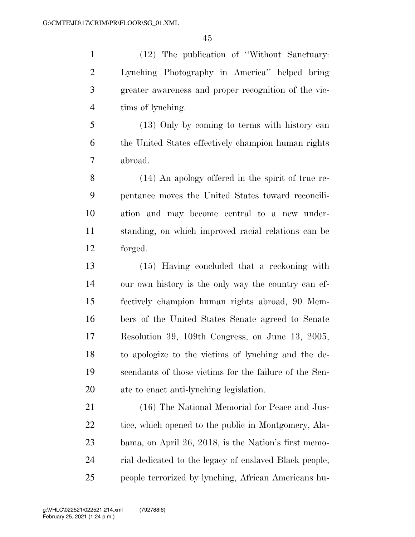(12) The publication of ''Without Sanctuary: Lynching Photography in America'' helped bring greater awareness and proper recognition of the vic-tims of lynching.

 (13) Only by coming to terms with history can the United States effectively champion human rights abroad.

 (14) An apology offered in the spirit of true re- pentance moves the United States toward reconcili- ation and may become central to a new under- standing, on which improved racial relations can be forged.

 (15) Having concluded that a reckoning with our own history is the only way the country can ef- fectively champion human rights abroad, 90 Mem- bers of the United States Senate agreed to Senate Resolution 39, 109th Congress, on June 13, 2005, to apologize to the victims of lynching and the de- scendants of those victims for the failure of the Sen-ate to enact anti-lynching legislation.

 (16) The National Memorial for Peace and Jus-22 tice, which opened to the public in Montgomery, Ala- bama, on April 26, 2018, is the Nation's first memo- rial dedicated to the legacy of enslaved Black people, people terrorized by lynching, African Americans hu-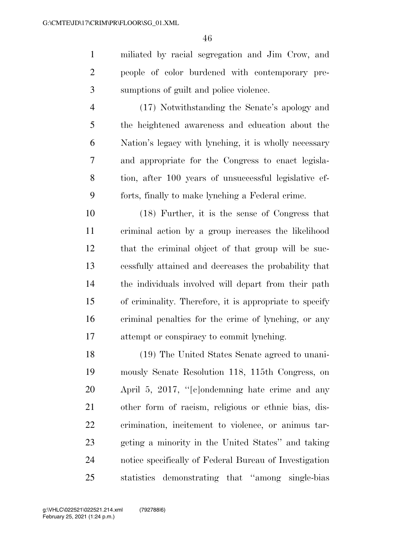miliated by racial segregation and Jim Crow, and people of color burdened with contemporary pre-sumptions of guilt and police violence.

 (17) Notwithstanding the Senate's apology and the heightened awareness and education about the Nation's legacy with lynching, it is wholly necessary and appropriate for the Congress to enact legisla- tion, after 100 years of unsuccessful legislative ef-forts, finally to make lynching a Federal crime.

 (18) Further, it is the sense of Congress that criminal action by a group increases the likelihood that the criminal object of that group will be suc- cessfully attained and decreases the probability that the individuals involved will depart from their path of criminality. Therefore, it is appropriate to specify criminal penalties for the crime of lynching, or any attempt or conspiracy to commit lynching.

 (19) The United States Senate agreed to unani- mously Senate Resolution 118, 115th Congress, on April 5, 2017, ''[c]ondemning hate crime and any other form of racism, religious or ethnic bias, dis- crimination, incitement to violence, or animus tar- geting a minority in the United States'' and taking notice specifically of Federal Bureau of Investigation statistics demonstrating that ''among single-bias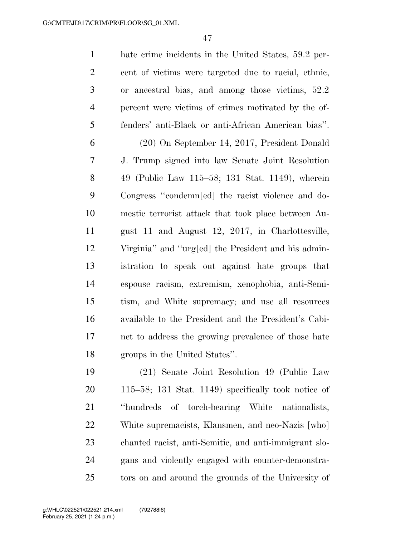hate crime incidents in the United States, 59.2 per- cent of victims were targeted due to racial, ethnic, or ancestral bias, and among those victims, 52.2 percent were victims of crimes motivated by the of- fenders' anti-Black or anti-African American bias''. (20) On September 14, 2017, President Donald J. Trump signed into law Senate Joint Resolution 49 (Public Law 115–58; 131 Stat. 1149), wherein Congress ''condemn[ed] the racist violence and do- mestic terrorist attack that took place between Au- gust 11 and August 12, 2017, in Charlottesville, Virginia'' and ''urg[ed] the President and his admin- istration to speak out against hate groups that espouse racism, extremism, xenophobia, anti-Semi- tism, and White supremacy; and use all resources available to the President and the President's Cabi- net to address the growing prevalence of those hate groups in the United States''.

 (21) Senate Joint Resolution 49 (Public Law 115–58; 131 Stat. 1149) specifically took notice of ''hundreds of torch-bearing White nationalists, White supremacists, Klansmen, and neo-Nazis [who] chanted racist, anti-Semitic, and anti-immigrant slo- gans and violently engaged with counter-demonstra-tors on and around the grounds of the University of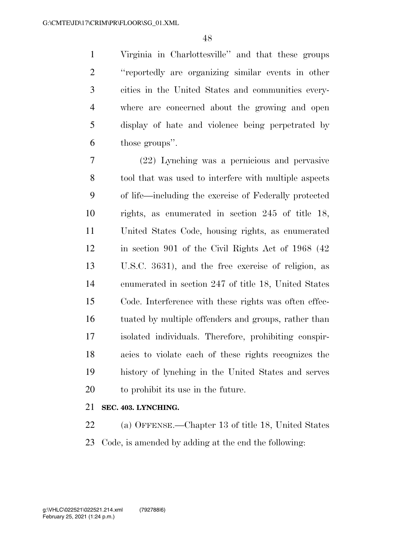Virginia in Charlottesville'' and that these groups ''reportedly are organizing similar events in other cities in the United States and communities every- where are concerned about the growing and open display of hate and violence being perpetrated by those groups''.

 (22) Lynching was a pernicious and pervasive tool that was used to interfere with multiple aspects of life—including the exercise of Federally protected rights, as enumerated in section 245 of title 18, United States Code, housing rights, as enumerated in section 901 of the Civil Rights Act of 1968 (42 U.S.C. 3631), and the free exercise of religion, as enumerated in section 247 of title 18, United States Code. Interference with these rights was often effec- tuated by multiple offenders and groups, rather than isolated individuals. Therefore, prohibiting conspir- acies to violate each of these rights recognizes the history of lynching in the United States and serves to prohibit its use in the future.

# **SEC. 403. LYNCHING.**

 (a) OFFENSE.—Chapter 13 of title 18, United States Code, is amended by adding at the end the following: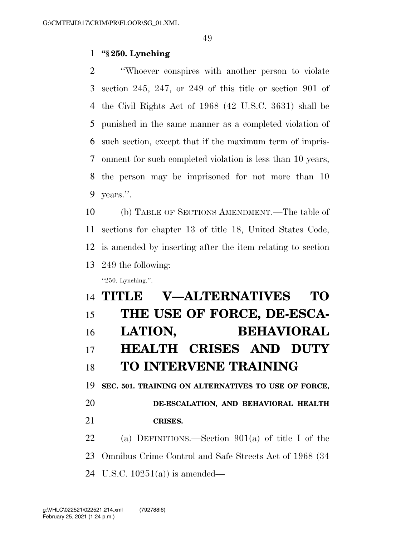### **''§ 250. Lynching**

 ''Whoever conspires with another person to violate section 245, 247, or 249 of this title or section 901 of the Civil Rights Act of 1968 (42 U.S.C. 3631) shall be punished in the same manner as a completed violation of such section, except that if the maximum term of impris- onment for such completed violation is less than 10 years, the person may be imprisoned for not more than 10 years.''.

 (b) TABLE OF SECTIONS AMENDMENT.—The table of sections for chapter 13 of title 18, United States Code, is amended by inserting after the item relating to section 249 the following: ''250. Lynching.''.

# **TITLE V—ALTERNATIVES TO THE USE OF FORCE, DE-ESCA- LATION, BEHAVIORAL HEALTH CRISES AND DUTY TO INTERVENE TRAINING SEC. 501. TRAINING ON ALTERNATIVES TO USE OF FORCE, DE-ESCALATION, AND BEHAVIORAL HEALTH CRISES.**

 (a) DEFINITIONS.—Section 901(a) of title I of the Omnibus Crime Control and Safe Streets Act of 1968 (34 U.S.C. 10251(a)) is amended—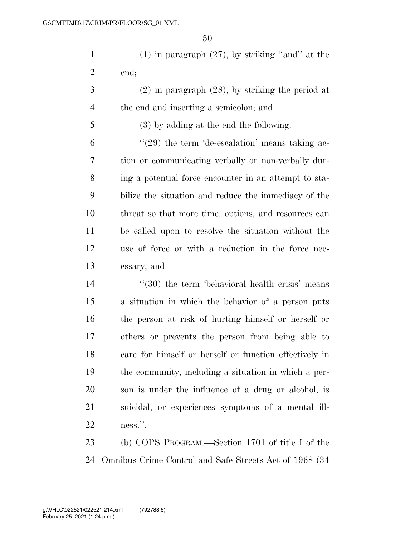(1) in paragraph (27), by striking ''and'' at the end;

 (2) in paragraph (28), by striking the period at the end and inserting a semicolon; and

(3) by adding at the end the following:

 $(29)$  the term 'de-escalation' means taking ac- tion or communicating verbally or non-verbally dur- ing a potential force encounter in an attempt to sta- bilize the situation and reduce the immediacy of the threat so that more time, options, and resources can be called upon to resolve the situation without the use of force or with a reduction in the force nec-essary; and

14 ''(30) the term 'behavioral health crisis' means a situation in which the behavior of a person puts the person at risk of hurting himself or herself or others or prevents the person from being able to care for himself or herself or function effectively in the community, including a situation in which a per- son is under the influence of a drug or alcohol, is suicidal, or experiences symptoms of a mental ill-ness.''.

 (b) COPS PROGRAM.—Section 1701 of title I of the Omnibus Crime Control and Safe Streets Act of 1968 (34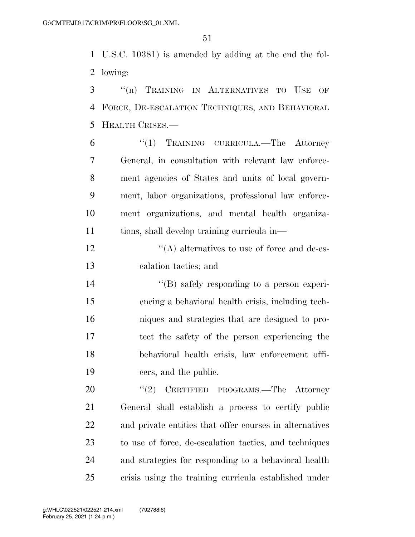U.S.C. 10381) is amended by adding at the end the fol-lowing:

 ''(n) TRAINING IN ALTERNATIVES TO USE OF FORCE, DE-ESCALATION TECHNIQUES, AND BEHAVIORAL HEALTH CRISES.—

 ''(1) TRAINING CURRICULA.—The Attorney General, in consultation with relevant law enforce- ment agencies of States and units of local govern- ment, labor organizations, professional law enforce- ment organizations, and mental health organiza-tions, shall develop training curricula in—

 $'$ (A) alternatives to use of force and de-es-calation tactics; and

 ''(B) safely responding to a person experi- encing a behavioral health crisis, including tech- niques and strategies that are designed to pro- tect the safety of the person experiencing the behavioral health crisis, law enforcement offi-cers, and the public.

20 "(2) CERTIFIED PROGRAMS.—The Attorney General shall establish a process to certify public and private entities that offer courses in alternatives to use of force, de-escalation tactics, and techniques and strategies for responding to a behavioral health crisis using the training curricula established under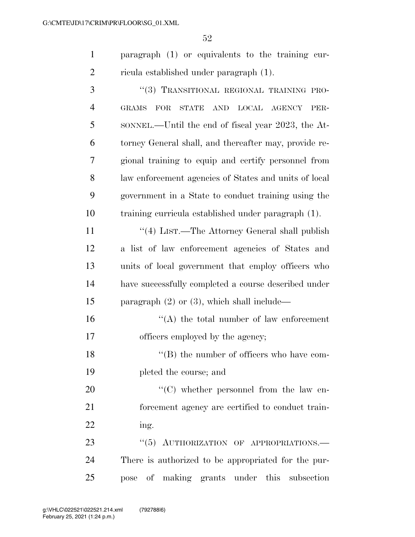paragraph (1) or equivalents to the training cur-ricula established under paragraph (1).

| 3              | "(3) TRANSITIONAL REGIONAL TRAINING PRO-                                            |
|----------------|-------------------------------------------------------------------------------------|
| $\overline{4}$ | FOR<br>LOCAL AGENCY<br><b>GRAMS</b><br><b>STATE</b><br>$\operatorname{AND}$<br>PER- |
| 5              | SONNEL.—Until the end of fiscal year 2023, the At-                                  |
| 6              | torney General shall, and thereafter may, provide re-                               |
| 7              | gional training to equip and certify personnel from                                 |
| 8              | law enforcement agencies of States and units of local                               |
| 9              | government in a State to conduct training using the                                 |
| 10             | training curricula established under paragraph (1).                                 |
| 11             | "(4) LIST.—The Attorney General shall publish                                       |
| 12             | a list of law enforcement agencies of States and                                    |
| 13             | units of local government that employ officers who                                  |
| 14             | have successfully completed a course described under                                |
| 15             | paragraph $(2)$ or $(3)$ , which shall include—                                     |
| 16             | $\lq\lq$ the total number of law enforcement                                        |
| 17             | officers employed by the agency;                                                    |
| 18             | $\lq\lq$ the number of officers who have com-                                       |
| 19             | pleted the course; and                                                              |
| 20             | $\lq\lq$ (C) whether personnel from the law en-                                     |
| 21             | forcement agency are certified to conduct train-                                    |
| 22             | ing.                                                                                |
| 23             | "(5) AUTHORIZATION OF APPROPRIATIONS.                                               |
| 24             | There is authorized to be appropriated for the pur-                                 |
| 25             | of making grants under this subsection<br>pose                                      |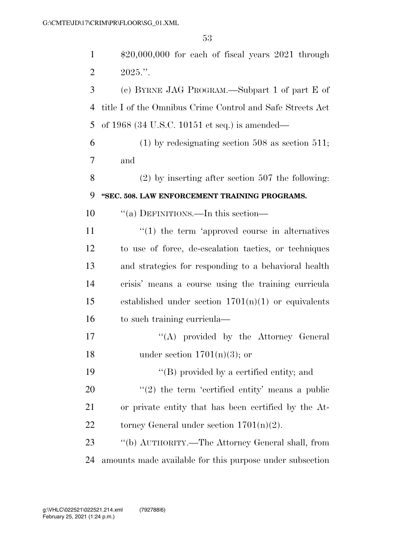| $\mathbf{1}$   | $$20,000,000$ for each of fiscal years $2021$ through     |
|----------------|-----------------------------------------------------------|
| $\overline{2}$ | $2025$ .".                                                |
| 3              | (c) BYRNE JAG PROGRAM.—Subpart 1 of part E of             |
| $\overline{4}$ | title I of the Omnibus Crime Control and Safe Streets Act |
| 5              | of 1968 (34 U.S.C. 10151 et seq.) is amended—             |
| 6              | $(1)$ by redesignating section 508 as section 511;        |
| 7              | and                                                       |
| 8              | $(2)$ by inserting after section 507 the following:       |
| 9              | "SEC. 508. LAW ENFORCEMENT TRAINING PROGRAMS.             |
| 10             | "(a) DEFINITIONS.—In this section—                        |
| 11             | $\lq(1)$ the term 'approved course in alternatives        |
| 12             | to use of force, de-escalation tactics, or techniques     |
| 13             | and strategies for responding to a behavioral health      |
| 14             | crisis' means a course using the training curricula       |
| 15             | established under section $1701(n)(1)$ or equivalents     |
| 16             | to such training curricula—                               |
| 17             | "(A) provided by the Attorney General                     |
| 18             | under section $1701(n)(3)$ ; or                           |
| 19             | $\lq\lq (B)$ provided by a certified entity; and          |
| 20             | $\lq(2)$ the term 'certified entity' means a public       |
| 21             | or private entity that has been certified by the At-      |
| 22             | torney General under section $1701(n)(2)$ .               |
| 23             | "(b) AUTHORITY.—The Attorney General shall, from          |
| 24             | amounts made available for this purpose under subsection  |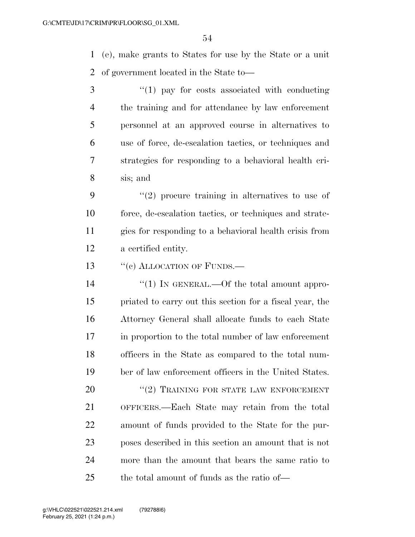(e), make grants to States for use by the State or a unit of government located in the State to—

3 "(1) pay for costs associated with conducting the training and for attendance by law enforcement personnel at an approved course in alternatives to use of force, de-escalation tactics, or techniques and strategies for responding to a behavioral health cri-sis; and

 ''(2) procure training in alternatives to use of force, de-escalation tactics, or techniques and strate- gies for responding to a behavioral health crisis from a certified entity.

13 "(c) ALLOCATION OF FUNDS.—

 $\frac{1}{2}$  (1) In GENERAL.—Of the total amount appro- priated to carry out this section for a fiscal year, the Attorney General shall allocate funds to each State in proportion to the total number of law enforcement officers in the State as compared to the total num-ber of law enforcement officers in the United States.

20 "(2) TRAINING FOR STATE LAW ENFORCEMENT OFFICERS.—Each State may retain from the total amount of funds provided to the State for the pur- poses described in this section an amount that is not more than the amount that bears the same ratio to the total amount of funds as the ratio of—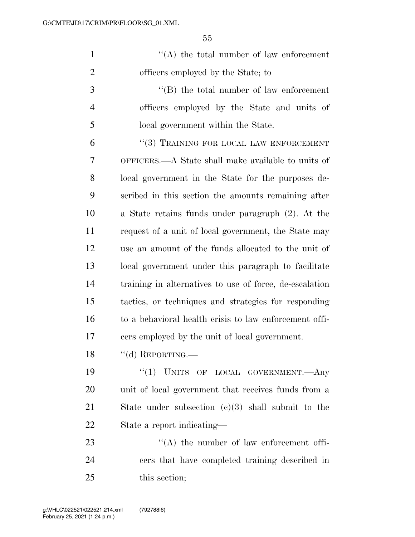| $\mathbf{1}$   | $\lq\lq$ the total number of law enforcement            |
|----------------|---------------------------------------------------------|
| $\overline{2}$ | officers employed by the State; to                      |
| 3              | $\lq\lq (B)$ the total number of law enforcement        |
| $\overline{4}$ | officers employed by the State and units of             |
| 5              | local government within the State.                      |
| 6              | "(3) TRAINING FOR LOCAL LAW ENFORCEMENT                 |
| 7              | OFFICERS.—A State shall make available to units of      |
| 8              | local government in the State for the purposes de-      |
| 9              | scribed in this section the amounts remaining after     |
| 10             | a State retains funds under paragraph (2). At the       |
| 11             | request of a unit of local government, the State may    |
| 12             | use an amount of the funds allocated to the unit of     |
| 13             | local government under this paragraph to facilitate     |
| 14             | training in alternatives to use of force, de-escalation |
| 15             | tactics, or techniques and strategies for responding    |
| 16             | to a behavioral health crisis to law enforcement offi-  |
| 17             | cers employed by the unit of local government.          |
| 18             | $``\mathrm{(d)}$ REPORTING.—                            |
| 19             | "(1) UNITS OF LOCAL GOVERNMENT.—Any                     |
| 20             | unit of local government that receives funds from a     |
| 21             | State under subsection $(c)(3)$ shall submit to the     |
| 22             | State a report indicating—                              |
| 23             | $\lq\lq$ the number of law enforcement offi-            |
| 24             | cers that have completed training described in          |
| 25             | this section;                                           |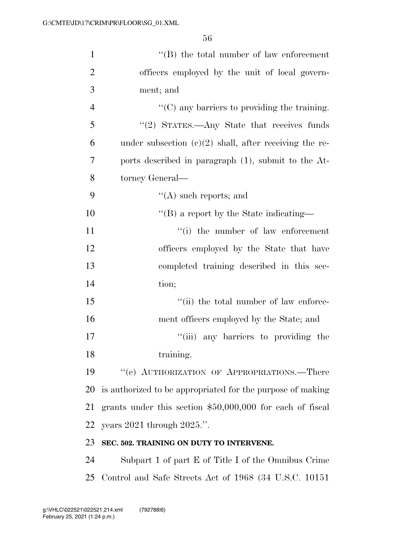| $\mathbf{1}$   | $\lq\lq (B)$ the total number of law enforcement           |
|----------------|------------------------------------------------------------|
| $\overline{2}$ | officers employed by the unit of local govern-             |
| 3              | ment; and                                                  |
| $\overline{4}$ | $\lq\lq$ (C) any barriers to providing the training.       |
| 5              | $"(2)$ STATES.—Any State that receives funds               |
| 6              | under subsection $(c)(2)$ shall, after receiving the re-   |
| 7              | ports described in paragraph (1), submit to the At-        |
| 8              | torney General—                                            |
| 9              | $\lq\lq$ such reports; and                                 |
| 10             | $\lq\lq$ (B) a report by the State indicating—             |
| 11             | $f(i)$ the number of law enforcement                       |
| 12             | officers employed by the State that have                   |
| 13             | completed training described in this sec-                  |
| 14             | tion;                                                      |
| 15             | "(ii) the total number of law enforce-                     |
| 16             | ment officers employed by the State; and                   |
| 17             | "(iii) any barriers to providing the                       |
| 18             | training.                                                  |
| 19             | "(e) AUTHORIZATION OF APPROPRIATIONS.—There                |
| 20             | is authorized to be appropriated for the purpose of making |
| 21             | grants under this section $$50,000,000$ for each of fiscal |
| 22             | years $2021$ through $2025$ .".                            |
| 23             | SEC. 502. TRAINING ON DUTY TO INTERVENE.                   |
| 24             | Subpart 1 of part E of Title I of the Omnibus Crime        |

Control and Safe Streets Act of 1968 (34 U.S.C. 10151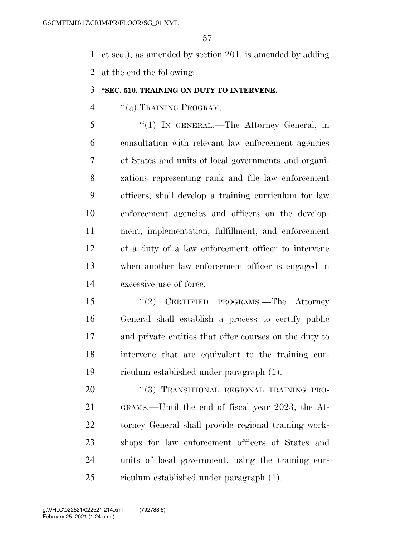et seq.), as amended by section 201, is amended by adding at the end the following:

#### **''SEC. 510. TRAINING ON DUTY TO INTERVENE.**

''(a) TRAINING PROGRAM.—

 ''(1) IN GENERAL.—The Attorney General, in consultation with relevant law enforcement agencies of States and units of local governments and organi- zations representing rank and file law enforcement officers, shall develop a training curriculum for law enforcement agencies and officers on the develop- ment, implementation, fulfillment, and enforcement of a duty of a law enforcement officer to intervene when another law enforcement officer is engaged in excessive use of force.

 ''(2) CERTIFIED PROGRAMS.—The Attorney General shall establish a process to certify public and private entities that offer courses on the duty to intervene that are equivalent to the training cur-riculum established under paragraph (1).

20 "(3) TRANSITIONAL REGIONAL TRAINING PRO- GRAMS.—Until the end of fiscal year 2023, the At- torney General shall provide regional training work- shops for law enforcement officers of States and units of local government, using the training cur-riculum established under paragraph (1).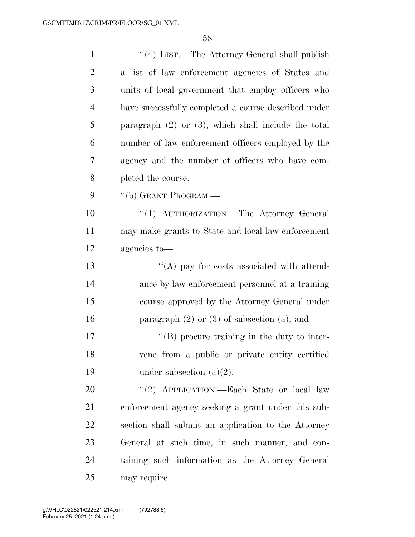| $\mathbf{1}$   | "(4) LIST.—The Attorney General shall publish            |
|----------------|----------------------------------------------------------|
| $\overline{2}$ | a list of law enforcement agencies of States and         |
| 3              | units of local government that employ officers who       |
| $\overline{4}$ | have successfully completed a course described under     |
| 5              | paragraph $(2)$ or $(3)$ , which shall include the total |
| 6              | number of law enforcement officers employed by the       |
| 7              | agency and the number of officers who have com-          |
| 8              | pleted the course.                                       |
| 9              | "(b) GRANT PROGRAM.—                                     |
| 10             | "(1) AUTHORIZATION. The Attorney General                 |
| 11             | may make grants to State and local law enforcement       |
| 12             | agencies to-                                             |
| 13             | $\lq\lq$ (A) pay for costs associated with attend-       |
| 14             | ance by law enforcement personnel at a training          |
| 15             | course approved by the Attorney General under            |
| 16             | paragraph $(2)$ or $(3)$ of subsection $(a)$ ; and       |
| 17             | $\lq\lq$ (B) procure training in the duty to inter-      |
| 18             | vene from a public or private entity certified           |
| 19             | under subsection $(a)(2)$ .                              |
| 20             | "(2) APPLICATION.—Each State or local law                |
| 21             | enforcement agency seeking a grant under this sub-       |
| 22             | section shall submit an application to the Attorney      |
| 23             | General at such time, in such manner, and con-           |
| 24             | taining such information as the Attorney General         |
| 25             | may require.                                             |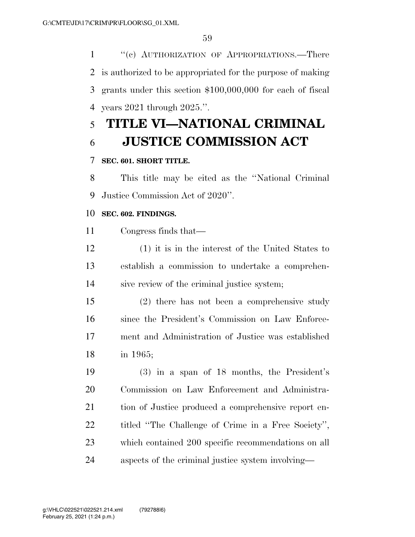1 "(c) AUTHORIZATION OF APPROPRIATIONS.—There is authorized to be appropriated for the purpose of making grants under this section \$100,000,000 for each of fiscal years 2021 through 2025.''.

# **TITLE VI—NATIONAL CRIMINAL JUSTICE COMMISSION ACT**

# **SEC. 601. SHORT TITLE.**

 This title may be cited as the ''National Criminal Justice Commission Act of 2020''.

### **SEC. 602. FINDINGS.**

Congress finds that—

 (1) it is in the interest of the United States to establish a commission to undertake a comprehen-sive review of the criminal justice system;

 (2) there has not been a comprehensive study since the President's Commission on Law Enforce- ment and Administration of Justice was established in 1965;

 (3) in a span of 18 months, the President's Commission on Law Enforcement and Administra- tion of Justice produced a comprehensive report en- titled ''The Challenge of Crime in a Free Society'', which contained 200 specific recommendations on all aspects of the criminal justice system involving—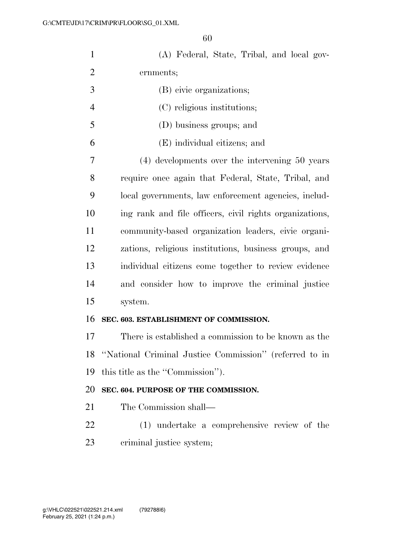| $\mathbf{1}$   | (A) Federal, State, Tribal, and local gov-                |
|----------------|-----------------------------------------------------------|
| $\overline{2}$ | ernments;                                                 |
| 3              | (B) civic organizations;                                  |
| $\overline{4}$ | (C) religious institutions;                               |
| 5              | (D) business groups; and                                  |
| 6              | (E) individual citizens; and                              |
| 7              | (4) developments over the intervening 50 years            |
| 8              | require once again that Federal, State, Tribal, and       |
| 9              | local governments, law enforcement agencies, includ-      |
| 10             | ing rank and file officers, civil rights organizations,   |
| 11             | community-based organization leaders, civic organi-       |
| 12             | zations, religious institutions, business groups, and     |
| 13             | individual citizens come together to review evidence      |
| 14             | and consider how to improve the criminal justice          |
| 15             | system.                                                   |
| 16             | SEC. 603. ESTABLISHMENT OF COMMISSION.                    |
| 17             | There is established a commission to be known as the      |
|                | 18 "National Criminal Justice Commission" (referred to in |
| 19             | this title as the "Commission").                          |
| 20             | SEC. 604. PURPOSE OF THE COMMISSION.                      |
| 21             | The Commission shall—                                     |
| 22             | (1) undertake a comprehensive review of the               |
| 23             | criminal justice system;                                  |
|                |                                                           |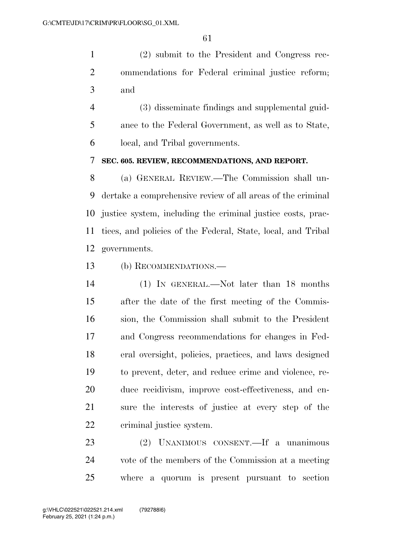(2) submit to the President and Congress rec- ommendations for Federal criminal justice reform; and

 (3) disseminate findings and supplemental guid- ance to the Federal Government, as well as to State, local, and Tribal governments.

#### **SEC. 605. REVIEW, RECOMMENDATIONS, AND REPORT.**

 (a) GENERAL REVIEW.—The Commission shall un- dertake a comprehensive review of all areas of the criminal justice system, including the criminal justice costs, prac- tices, and policies of the Federal, State, local, and Tribal governments.

(b) RECOMMENDATIONS.—

 (1) IN GENERAL.—Not later than 18 months after the date of the first meeting of the Commis- sion, the Commission shall submit to the President and Congress recommendations for changes in Fed- eral oversight, policies, practices, and laws designed to prevent, deter, and reduce crime and violence, re- duce recidivism, improve cost-effectiveness, and en- sure the interests of justice at every step of the criminal justice system.

 (2) UNANIMOUS CONSENT.—If a unanimous vote of the members of the Commission at a meeting where a quorum is present pursuant to section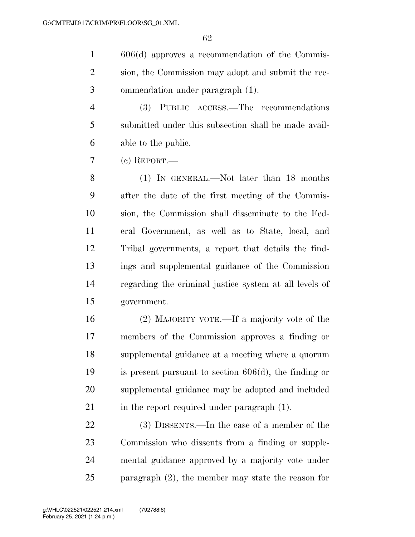606(d) approves a recommendation of the Commis- sion, the Commission may adopt and submit the rec-ommendation under paragraph (1).

 (3) PUBLIC ACCESS.—The recommendations submitted under this subsection shall be made avail-able to the public.

(c) REPORT.—

 (1) IN GENERAL.—Not later than 18 months after the date of the first meeting of the Commis- sion, the Commission shall disseminate to the Fed- eral Government, as well as to State, local, and Tribal governments, a report that details the find- ings and supplemental guidance of the Commission regarding the criminal justice system at all levels of government.

 (2) MAJORITY VOTE.—If a majority vote of the members of the Commission approves a finding or supplemental guidance at a meeting where a quorum is present pursuant to section 606(d), the finding or supplemental guidance may be adopted and included 21 in the report required under paragraph (1).

 (3) DISSENTS.—In the case of a member of the Commission who dissents from a finding or supple- mental guidance approved by a majority vote under paragraph (2), the member may state the reason for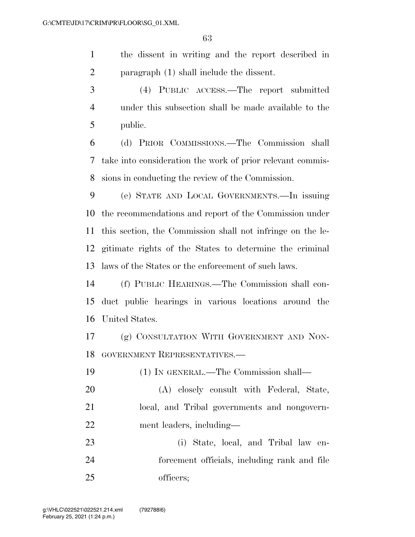the dissent in writing and the report described in paragraph (1) shall include the dissent.

 (4) PUBLIC ACCESS.—The report submitted under this subsection shall be made available to the public.

 (d) PRIOR COMMISSIONS.—The Commission shall take into consideration the work of prior relevant commis-sions in conducting the review of the Commission.

 (e) STATE AND LOCAL GOVERNMENTS.—In issuing the recommendations and report of the Commission under this section, the Commission shall not infringe on the le- gitimate rights of the States to determine the criminal laws of the States or the enforcement of such laws.

 (f) PUBLIC HEARINGS.—The Commission shall con- duct public hearings in various locations around the United States.

 (g) CONSULTATION WITH GOVERNMENT AND NON-GOVERNMENT REPRESENTATIVES.—

 (1) IN GENERAL.—The Commission shall— (A) closely consult with Federal, State, local, and Tribal governments and nongovern-ment leaders, including—

 (i) State, local, and Tribal law en- forcement officials, including rank and file officers;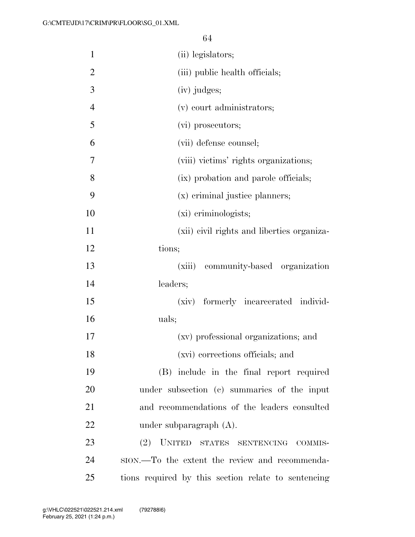| $\mathbf{1}$   | (ii) legislators;                                   |
|----------------|-----------------------------------------------------|
| $\overline{2}$ | (iii) public health officials;                      |
| 3              | (iv) judges;                                        |
| $\overline{4}$ | (v) court administrators;                           |
| 5              | (vi) prosecutors;                                   |
| 6              | (vii) defense counsel;                              |
| 7              | (viii) victims' rights organizations;               |
| 8              | (ix) probation and parole officials;                |
| 9              | (x) criminal justice planners;                      |
| 10             | (xi) criminologists;                                |
| 11             | (xii) civil rights and liberties organiza-          |
| 12             | tions;                                              |
| 13             | community-based organization<br>(xiii)              |
| 14             | leaders;                                            |
| 15             | (xiv) formerly incarcerated individ-                |
| 16             | uals;                                               |
| 17             | (xv) professional organizations; and                |
| 18             | (xvi) corrections officials; and                    |
| 19             | (B) include in the final report required            |
| 20             | under subsection (c) summaries of the input         |
| 21             | and recommendations of the leaders consulted        |
| 22             | under subparagraph $(A)$ .                          |
| 23             | (2) UNITED STATES SENTENCING COMMIS-                |
| 24             | sion.—To the extent the review and recommenda-      |
| 25             | tions required by this section relate to sentencing |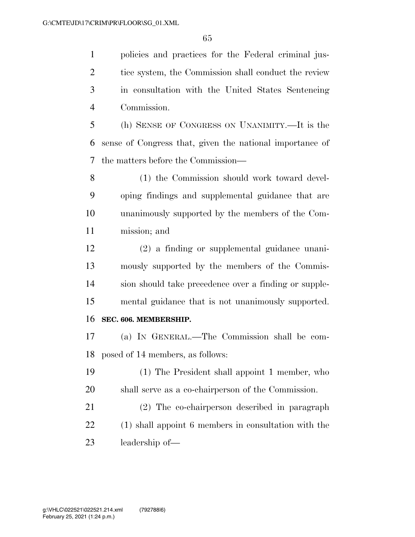policies and practices for the Federal criminal jus-2 tice system, the Commission shall conduct the review in consultation with the United States Sentencing Commission.

 (h) SENSE OF CONGRESS ON UNANIMITY.—It is the sense of Congress that, given the national importance of the matters before the Commission—

 (1) the Commission should work toward devel- oping findings and supplemental guidance that are unanimously supported by the members of the Com-mission; and

 (2) a finding or supplemental guidance unani- mously supported by the members of the Commis- sion should take precedence over a finding or supple- mental guidance that is not unanimously supported. **SEC. 606. MEMBERSHIP.** 

 (a) IN GENERAL.—The Commission shall be com-posed of 14 members, as follows:

 (1) The President shall appoint 1 member, who shall serve as a co-chairperson of the Commission.

 (2) The co-chairperson described in paragraph (1) shall appoint 6 members in consultation with the leadership of—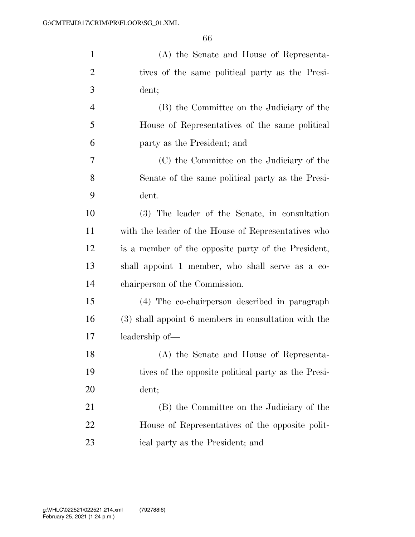| $\mathbf{1}$   | (A) the Senate and House of Representa-              |
|----------------|------------------------------------------------------|
| $\overline{2}$ | tives of the same political party as the Presi-      |
| 3              | dent;                                                |
| $\overline{4}$ | (B) the Committee on the Judiciary of the            |
| 5              | House of Representatives of the same political       |
| 6              | party as the President; and                          |
| 7              | (C) the Committee on the Judiciary of the            |
| 8              | Senate of the same political party as the Presi-     |
| 9              | dent.                                                |
| 10             | (3) The leader of the Senate, in consultation        |
| 11             | with the leader of the House of Representatives who  |
| 12             | is a member of the opposite party of the President,  |
| 13             | shall appoint 1 member, who shall serve as a co-     |
| 14             | chairperson of the Commission.                       |
| 15             | (4) The co-chairperson described in paragraph        |
| 16             | (3) shall appoint 6 members in consultation with the |
| 17             | leadership of—                                       |
| 18             | (A) the Senate and House of Representa-              |
| 19             | tives of the opposite political party as the Presi-  |
| 20             | dent;                                                |
| 21             | (B) the Committee on the Judiciary of the            |
| 22             | House of Representatives of the opposite polit-      |
| 23             | ical party as the President; and                     |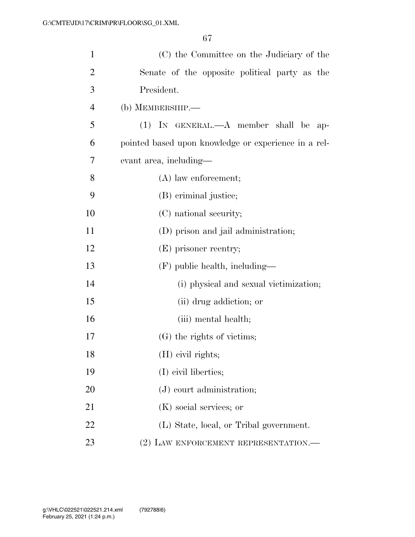| $\mathbf{1}$   | (C) the Committee on the Judiciary of the            |
|----------------|------------------------------------------------------|
| $\overline{2}$ | Senate of the opposite political party as the        |
| 3              | President.                                           |
| $\overline{4}$ | (b) MEMBERSHIP.—                                     |
| 5              | $(1)$ IN GENERAL.— $A$ member shall be ap-           |
| 6              | pointed based upon knowledge or experience in a rel- |
| 7              | evant area, including—                               |
| 8              | $(A)$ law enforcement;                               |
| 9              | (B) criminal justice;                                |
| 10             | (C) national security;                               |
| 11             | (D) prison and jail administration;                  |
| 12             | (E) prisoner reentry;                                |
| 13             | (F) public health, including—                        |
| 14             | (i) physical and sexual victimization;               |
| 15             | (ii) drug addiction; or                              |
| 16             | (iii) mental health;                                 |
| 17             | (G) the rights of victims;                           |
| 18             | (H) civil rights;                                    |
| 19             | (I) civil liberties;                                 |
| 20             | $(J)$ court administration;                          |
| 21             | (K) social services; or                              |
| 22             | (L) State, local, or Tribal government.              |
| 23             | (2) LAW ENFORCEMENT REPRESENTATION.—                 |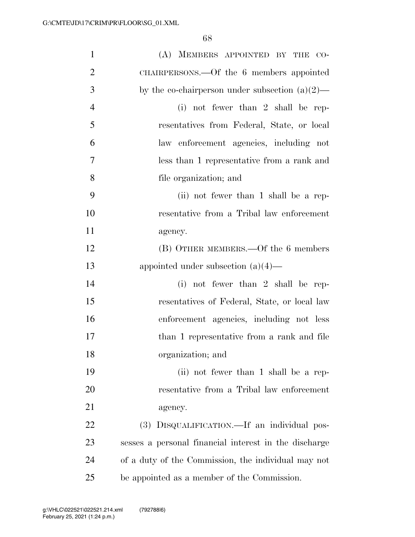| $\mathbf{1}$   | (A) MEMBERS APPOINTED BY THE CO-                      |
|----------------|-------------------------------------------------------|
| $\overline{2}$ | CHAIRPERSONS.—Of the 6 members appointed              |
| 3              | by the co-chairperson under subsection $(a)(2)$ —     |
| $\overline{4}$ | (i) not fewer than $2 \text{ shall be rep-}$          |
| 5              | resentatives from Federal, State, or local            |
| 6              | law enforcement agencies, including not               |
| $\overline{7}$ | less than 1 representative from a rank and            |
| 8              | file organization; and                                |
| 9              | (ii) not fewer than 1 shall be a rep-                 |
| 10             | resentative from a Tribal law enforcement             |
| 11             | agency.                                               |
| 12             | (B) OTHER MEMBERS.—Of the 6 members                   |
| 13             | appointed under subsection $(a)(4)$ —                 |
| 14             | (i) not fewer than $2$ shall be rep-                  |
| 15             | resentatives of Federal, State, or local law          |
| 16             | enforcement agencies, including not less              |
| 17             | than 1 representative from a rank and file            |
| 18             | organization; and                                     |
| 19             | (ii) not fewer than 1 shall be a rep-                 |
| 20             | resentative from a Tribal law enforcement             |
| 21             | agency.                                               |
| 22             | (3) DISQUALIFICATION.—If an individual pos-           |
| 23             | sesses a personal financial interest in the discharge |
| 24             | of a duty of the Commission, the individual may not   |
| 25             | be appointed as a member of the Commission.           |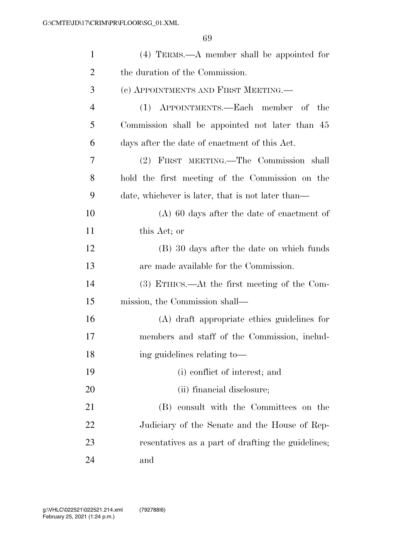| $\mathbf{1}$   | $(4)$ TERMS.—A member shall be appointed for       |
|----------------|----------------------------------------------------|
| $\overline{2}$ | the duration of the Commission.                    |
| 3              | (c) APPOINTMENTS AND FIRST MEETING.—               |
| 4              | (1) APPOINTMENTS.—Each member of the               |
| 5              | Commission shall be appointed not later than 45    |
| 6              | days after the date of enactment of this Act.      |
| 7              | (2) FIRST MEETING.—The Commission shall            |
| 8              | hold the first meeting of the Commission on the    |
| 9              | date, whichever is later, that is not later than—  |
| 10             | $(A)$ 60 days after the date of enactment of       |
| 11             | this Act; or                                       |
| 12             | (B) 30 days after the date on which funds          |
| 13             | are made available for the Commission.             |
| 14             | $(3)$ ETHICS.—At the first meeting of the Com-     |
| 15             | mission, the Commission shall—                     |
| 16             | (A) draft appropriate ethics guidelines for        |
| 17             | members and staff of the Commission, includ-       |
| 18             | ing guidelines relating to-                        |
| 19             | (i) conflict of interest; and                      |
| 20             | (ii) financial disclosure;                         |
| 21             | (B) consult with the Committees on the             |
| 22             | Judiciary of the Senate and the House of Rep-      |
| 23             | resentatives as a part of drafting the guidelines; |
| 24             | and                                                |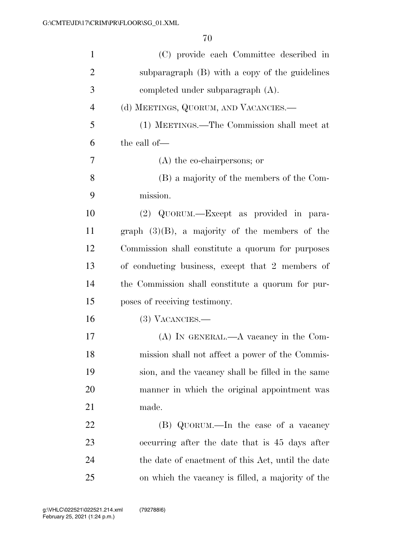| $\mathbf{1}$   | (C) provide each Committee described in           |
|----------------|---------------------------------------------------|
| $\overline{2}$ | subparagraph (B) with a copy of the guidelines    |
| 3              | completed under subparagraph (A).                 |
| $\overline{4}$ | (d) MEETINGS, QUORUM, AND VACANCIES.—             |
| 5              | (1) MEETINGS.—The Commission shall meet at        |
| 6              | the call of—                                      |
| 7              | $(A)$ the co-chairpersons; or                     |
| 8              | (B) a majority of the members of the Com-         |
| 9              | mission.                                          |
| 10             | (2) QUORUM.—Except as provided in para-           |
| 11             | graph $(3)(B)$ , a majority of the members of the |
| 12             | Commission shall constitute a quorum for purposes |
| 13             | of conducting business, except that 2 members of  |
| 14             | the Commission shall constitute a quorum for pur- |
| 15             | poses of receiving testimony.                     |
| 16             | $(3)$ VACANCIES.—                                 |
| 17             | $(A)$ IN GENERAL.— $A$ vacancy in the Com-        |
| 18             | mission shall not affect a power of the Commis-   |
| 19             | sion, and the vacancy shall be filled in the same |
| 20             | manner in which the original appointment was      |
| 21             | made.                                             |
| 22             | (B) QUORUM.—In the case of a vacancy              |
| 23             | occurring after the date that is 45 days after    |
| 24             | the date of enactment of this Act, until the date |
| 25             | on which the vacancy is filled, a majority of the |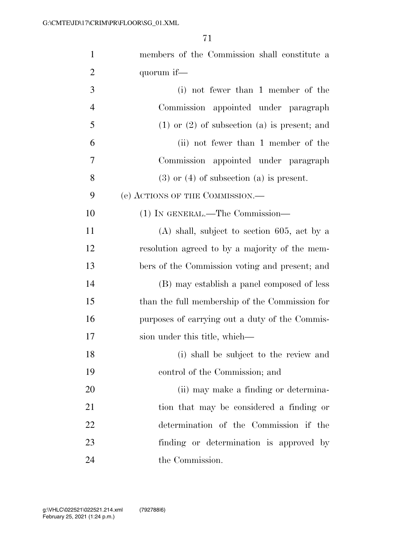| $\mathbf{1}$   | members of the Commission shall constitute a       |
|----------------|----------------------------------------------------|
| $\overline{2}$ | quorum if—                                         |
| 3              | (i) not fewer than 1 member of the                 |
| $\overline{4}$ | Commission appointed under paragraph               |
| 5              | $(1)$ or $(2)$ of subsection $(a)$ is present; and |
| 6              | (ii) not fewer than 1 member of the                |
| $\overline{7}$ | Commission appointed under paragraph               |
| 8              | $(3)$ or $(4)$ of subsection $(a)$ is present.     |
| 9              | (e) ACTIONS OF THE COMMISSION.—                    |
| 10             | (1) IN GENERAL.—The Commission—                    |
| 11             | $(A)$ shall, subject to section 605, act by a      |
| 12             | resolution agreed to by a majority of the mem-     |
| 13             | bers of the Commission voting and present; and     |
| 14             | (B) may establish a panel composed of less         |
| 15             | than the full membership of the Commission for     |
| 16             | purposes of carrying out a duty of the Commis-     |
| 17             | sion under this title, which—                      |
| 18             | (i) shall be subject to the review and             |
| 19             | control of the Commission; and                     |
| 20             | (ii) may make a finding or determina-              |
| 21             | tion that may be considered a finding or           |
| 22             | determination of the Commission if the             |
| 23             | finding or determination is approved by            |
| 24             | the Commission.                                    |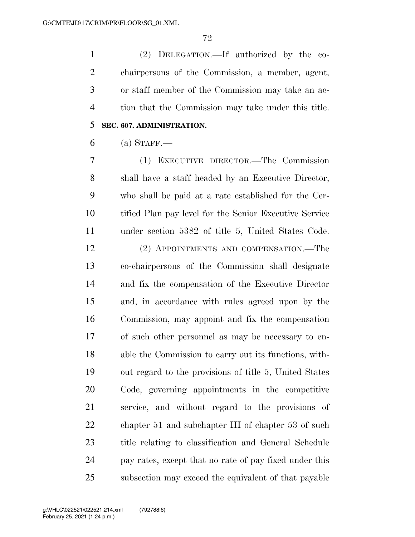(2) DELEGATION.—If authorized by the co- chairpersons of the Commission, a member, agent, or staff member of the Commission may take an ac- tion that the Commission may take under this title. **SEC. 607. ADMINISTRATION.** 

#### (a) STAFF.—

 (1) EXECUTIVE DIRECTOR.—The Commission shall have a staff headed by an Executive Director, who shall be paid at a rate established for the Cer- tified Plan pay level for the Senior Executive Service under section 5382 of title 5, United States Code.

 (2) APPOINTMENTS AND COMPENSATION.—The co-chairpersons of the Commission shall designate and fix the compensation of the Executive Director and, in accordance with rules agreed upon by the Commission, may appoint and fix the compensation of such other personnel as may be necessary to en- able the Commission to carry out its functions, with- out regard to the provisions of title 5, United States Code, governing appointments in the competitive service, and without regard to the provisions of 22 chapter 51 and subchapter III of chapter 53 of such title relating to classification and General Schedule pay rates, except that no rate of pay fixed under this subsection may exceed the equivalent of that payable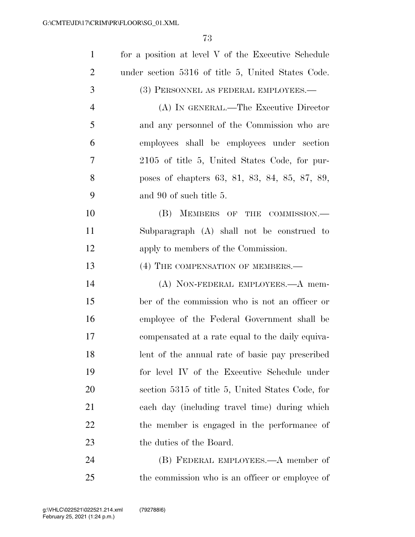| $\mathbf{1}$   | for a position at level V of the Executive Schedule |
|----------------|-----------------------------------------------------|
| $\overline{2}$ | under section 5316 of title 5, United States Code.  |
| 3              | (3) PERSONNEL AS FEDERAL EMPLOYEES.—                |
| $\overline{4}$ | (A) IN GENERAL.—The Executive Director              |
| 5              | and any personnel of the Commission who are         |
| 6              | employees shall be employees under section          |
| 7              | 2105 of title 5, United States Code, for pur-       |
| 8              | poses of chapters 63, 81, 83, 84, 85, 87, 89,       |
| 9              | and 90 of such title 5.                             |
| 10             | (B) MEMBERS OF THE COMMISSION.—                     |
| 11             | Subparagraph (A) shall not be construed to          |
| 12             | apply to members of the Commission.                 |
| 13             | (4) THE COMPENSATION OF MEMBERS.—                   |
| 14             | (A) NON-FEDERAL EMPLOYEES.—A mem-                   |
| 15             | ber of the commission who is not an officer or      |
| 16             | employee of the Federal Government shall be         |
| 17             | compensated at a rate equal to the daily equiva-    |
| 18             | lent of the annual rate of basic pay prescribed     |
| 19             | for level IV of the Executive Schedule under        |
| 20             | section 5315 of title 5, United States Code, for    |
| 21             | each day (including travel time) during which       |
| 22             | the member is engaged in the performance of         |
| 23             | the duties of the Board.                            |
| 24             | (B) FEDERAL EMPLOYEES.—A member of                  |
| 25             | the commission who is an officer or employee of     |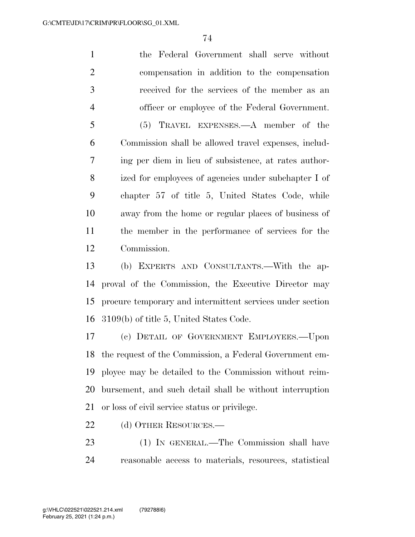the Federal Government shall serve without compensation in addition to the compensation received for the services of the member as an officer or employee of the Federal Government. (5) TRAVEL EXPENSES.—A member of the Commission shall be allowed travel expenses, includ- ing per diem in lieu of subsistence, at rates author- ized for employees of agencies under subchapter I of chapter 57 of title 5, United States Code, while away from the home or regular places of business of the member in the performance of services for the Commission.

 (b) EXPERTS AND CONSULTANTS.—With the ap- proval of the Commission, the Executive Director may procure temporary and intermittent services under section 3109(b) of title 5, United States Code.

 (c) DETAIL OF GOVERNMENT EMPLOYEES.—Upon the request of the Commission, a Federal Government em- ployee may be detailed to the Commission without reim- bursement, and such detail shall be without interruption or loss of civil service status or privilege.

22 (d) OTHER RESOURCES.—

 (1) IN GENERAL.—The Commission shall have reasonable access to materials, resources, statistical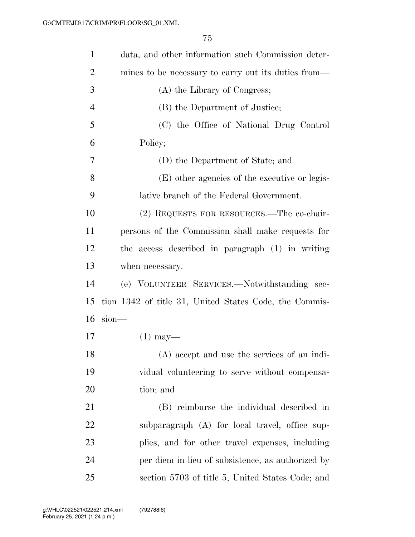| $\mathbf{1}$   | data, and other information such Commission deter-     |
|----------------|--------------------------------------------------------|
| $\overline{2}$ | mines to be necessary to carry out its duties from—    |
| 3              | (A) the Library of Congress;                           |
| $\overline{4}$ | (B) the Department of Justice;                         |
| 5              | (C) the Office of National Drug Control                |
| 6              | Policy;                                                |
| 7              | (D) the Department of State; and                       |
| 8              | (E) other agencies of the executive or legis-          |
| 9              | lative branch of the Federal Government.               |
| 10             | (2) REQUESTS FOR RESOURCES.—The co-chair-              |
| 11             | persons of the Commission shall make requests for      |
| 12             | the access described in paragraph (1) in writing       |
| 13             | when necessary.                                        |
| 14             | (e) VOLUNTEER SERVICES.—Notwithstanding sec-           |
| 15             | tion 1342 of title 31, United States Code, the Commis- |
| 16             | $sion$ —                                               |
| 17             | $(1)$ may—                                             |
| 18             | (A) accept and use the services of an indi-            |
| 19             | vidual volunteering to serve without compensa-         |
| 20             | tion; and                                              |
| 21             | (B) reimburse the individual described in              |
| 22             | subparagraph (A) for local travel, office sup-         |
| 23             | plies, and for other travel expenses, including        |
| 24             | per diem in lieu of subsistence, as authorized by      |
| 25             | section 5703 of title 5, United States Code; and       |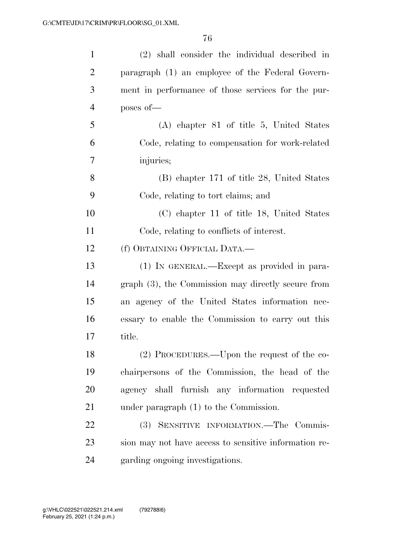| $\mathbf{1}$   | (2) shall consider the individual described in        |
|----------------|-------------------------------------------------------|
| $\overline{2}$ | paragraph (1) an employee of the Federal Govern-      |
| 3              | ment in performance of those services for the pur-    |
| $\overline{4}$ | poses of-                                             |
| 5              | $(A)$ chapter 81 of title 5, United States            |
| 6              | Code, relating to compensation for work-related       |
| 7              | injuries;                                             |
| 8              | (B) chapter 171 of title 28, United States            |
| 9              | Code, relating to tort claims; and                    |
| 10             | (C) chapter 11 of title 18, United States             |
| 11             | Code, relating to conflicts of interest.              |
| 12             | (f) OBTAINING OFFICIAL DATA.—                         |
| 13             | (1) IN GENERAL.—Except as provided in para-           |
| 14             | $graph(3)$ , the Commission may directly secure from  |
| 15             | an agency of the United States information nec-       |
| 16             | essary to enable the Commission to carry out this     |
| 17             | title.                                                |
| 18             | (2) PROCEDURES.—Upon the request of the co-           |
| 19             | chairpersons of the Commission, the head of the       |
| 20             | agency shall furnish any information requested        |
| 21             | under paragraph $(1)$ to the Commission.              |
| 22             | SENSITIVE INFORMATION.-The Commis-<br>(3)             |
| 23             | sion may not have access to sensitive information re- |
| 24             | garding ongoing investigations.                       |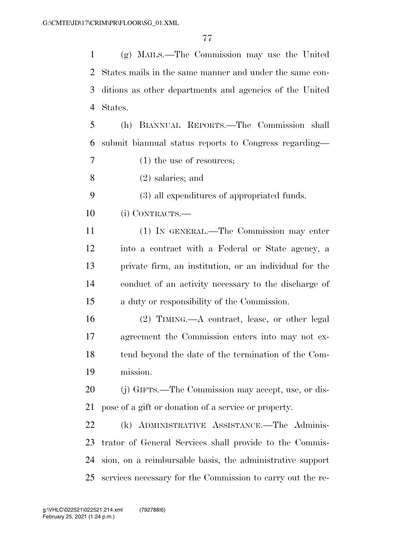(g) MAILS.—The Commission may use the United States mails in the same manner and under the same con- ditions as other departments and agencies of the United States.

 (h) BIANNUAL REPORTS.—The Commission shall submit biannual status reports to Congress regarding—

(1) the use of resources;

(2) salaries; and

(3) all expenditures of appropriated funds.

(i) CONTRACTS.—

 (1) IN GENERAL.—The Commission may enter into a contract with a Federal or State agency, a private firm, an institution, or an individual for the conduct of an activity necessary to the discharge of a duty or responsibility of the Commission.

 (2) TIMING.—A contract, lease, or other legal agreement the Commission enters into may not ex- tend beyond the date of the termination of the Com-mission.

 (j) GIFTS.—The Commission may accept, use, or dis-pose of a gift or donation of a service or property.

 (k) ADMINISTRATIVE ASSISTANCE.—The Adminis- trator of General Services shall provide to the Commis- sion, on a reimbursable basis, the administrative support services necessary for the Commission to carry out the re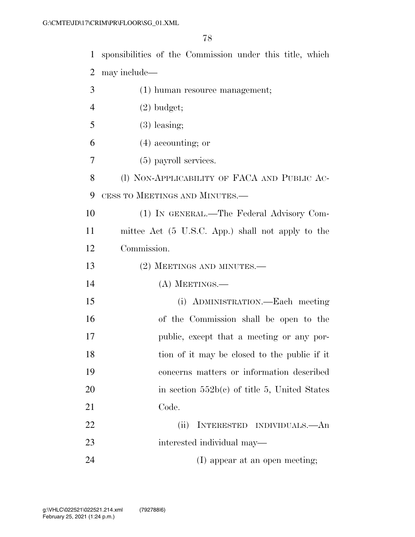sponsibilities of the Commission under this title, which may include—

 (1) human resource management; (2) budget;  $5 \t(3)$  leasing; (4) accounting; or (5) payroll services. 8 (1) NON-APPLICABILITY OF FACA AND PUBLIC AC- CESS TO MEETINGS AND MINUTES.— (1) IN GENERAL.—The Federal Advisory Com- mittee Act (5 U.S.C. App.) shall not apply to the Commission. 13 (2) MEETINGS AND MINUTES.— (A) MEETINGS.— (i) ADMINISTRATION.—Each meeting of the Commission shall be open to the public, except that a meeting or any por-18 tion of it may be closed to the public if it concerns matters or information described 20 in section  $552b(c)$  of title 5, United States Code. (ii) INTERESTED INDIVIDUALS.—An interested individual may— 24 (I) appear at an open meeting;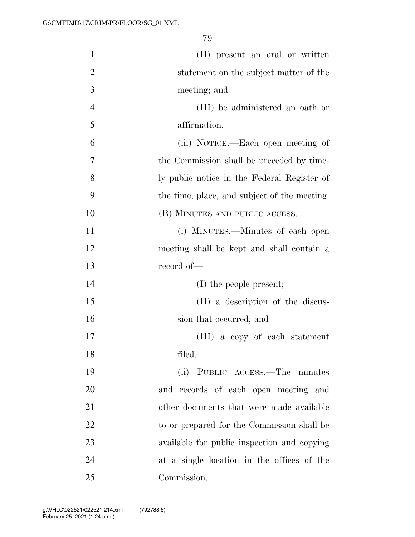| $\mathbf{1}$   | (II) present an oral or written              |
|----------------|----------------------------------------------|
| $\overline{2}$ | statement on the subject matter of the       |
| 3              | meeting; and                                 |
| $\overline{4}$ | (III) be administered an oath or             |
| 5              | affirmation.                                 |
| 6              | (iii) NOTICE.—Each open meeting of           |
| 7              | the Commission shall be preceded by time-    |
| 8              | ly public notice in the Federal Register of  |
| 9              | the time, place, and subject of the meeting. |
| 10             | (B) MINUTES AND PUBLIC ACCESS.—              |
| 11             | (i) MINUTES.—Minutes of each open            |
| 12             | meeting shall be kept and shall contain a    |
| 13             | record of-                                   |
| 14             | (I) the people present;                      |
| 15             | (II) a description of the discus-            |
| 16             | sion that occurred; and                      |
| 17             | (III) a copy of each statement               |
| 18             | filed.                                       |
| 19             | (ii) PUBLIC ACCESS.—The minutes              |
| 20             | and records of each open meeting and         |
| 21             | other documents that were made available     |
| 22             | to or prepared for the Commission shall be   |
| 23             | available for public inspection and copying  |
| 24             | at a single location in the offices of the   |
| 25             | Commission.                                  |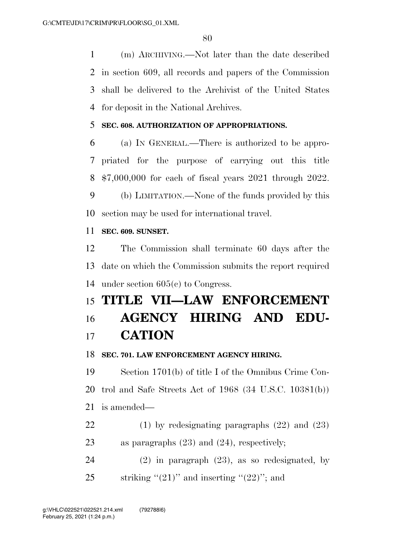(m) ARCHIVING.—Not later than the date described in section 609, all records and papers of the Commission shall be delivered to the Archivist of the United States for deposit in the National Archives.

### **SEC. 608. AUTHORIZATION OF APPROPRIATIONS.**

 (a) IN GENERAL.—There is authorized to be appro- priated for the purpose of carrying out this title \$7,000,000 for each of fiscal years 2021 through 2022.

 (b) LIMITATION.—None of the funds provided by this section may be used for international travel.

#### **SEC. 609. SUNSET.**

 The Commission shall terminate 60 days after the date on which the Commission submits the report required under section 605(c) to Congress.

# **TITLE VII—LAW ENFORCEMENT AGENCY HIRING AND EDU-CATION**

#### **SEC. 701. LAW ENFORCEMENT AGENCY HIRING.**

 Section 1701(b) of title I of the Omnibus Crime Con- trol and Safe Streets Act of 1968 (34 U.S.C. 10381(b)) is amended—

 (1) by redesignating paragraphs (22) and (23) as paragraphs (23) and (24), respectively;

 (2) in paragraph (23), as so redesignated, by 25 striking " $(21)$ " and inserting " $(22)$ "; and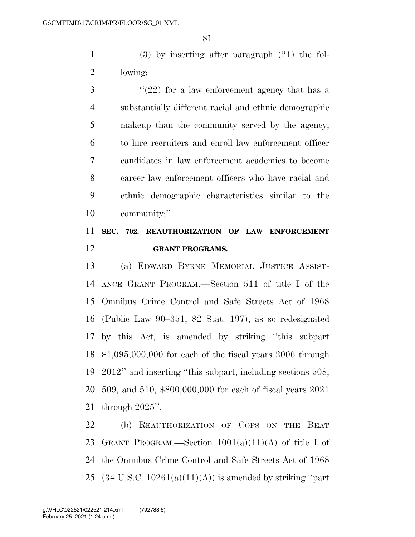(3) by inserting after paragraph (21) the fol-lowing:

 $\frac{3}{2}$  ''(22) for a law enforcement agency that has a substantially different racial and ethnic demographic makeup than the community served by the agency, to hire recruiters and enroll law enforcement officer candidates in law enforcement academies to become career law enforcement officers who have racial and ethnic demographic characteristics similar to the community;''.

## **SEC. 702. REAUTHORIZATION OF LAW ENFORCEMENT GRANT PROGRAMS.**

 (a) EDWARD BYRNE MEMORIAL JUSTICE ASSIST- ANCE GRANT PROGRAM.—Section 511 of title I of the Omnibus Crime Control and Safe Streets Act of 1968 (Public Law 90–351; 82 Stat. 197), as so redesignated by this Act, is amended by striking ''this subpart \$1,095,000,000 for each of the fiscal years 2006 through 2012'' and inserting ''this subpart, including sections 508, 509, and 510, \$800,000,000 for each of fiscal years 2021 through 2025''.

 (b) REAUTHORIZATION OF COPS ON THE BEAT 23 GRANT PROGRAM.—Section  $1001(a)(11)(A)$  of title I of the Omnibus Crime Control and Safe Streets Act of 1968  $(34 \text{ U.S.C. } 10261(a)(11)(A))$  is amended by striking "part"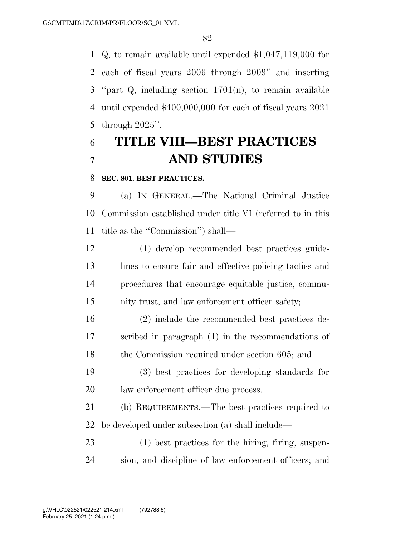Q, to remain available until expended \$1,047,119,000 for each of fiscal years 2006 through 2009'' and inserting ''part Q, including section 1701(n), to remain available until expended \$400,000,000 for each of fiscal years 2021 through 2025''.

# **TITLE VIII—BEST PRACTICES AND STUDIES**

#### **SEC. 801. BEST PRACTICES.**

 (a) IN GENERAL.—The National Criminal Justice Commission established under title VI (referred to in this title as the ''Commission'') shall—

 (1) develop recommended best practices guide- lines to ensure fair and effective policing tactics and procedures that encourage equitable justice, commu-nity trust, and law enforcement officer safety;

 (2) include the recommended best practices de- scribed in paragraph (1) in the recommendations of 18 the Commission required under section 605; and

 (3) best practices for developing standards for law enforcement officer due process.

 (b) REQUIREMENTS.—The best practices required to be developed under subsection (a) shall include—

 (1) best practices for the hiring, firing, suspen-sion, and discipline of law enforcement officers; and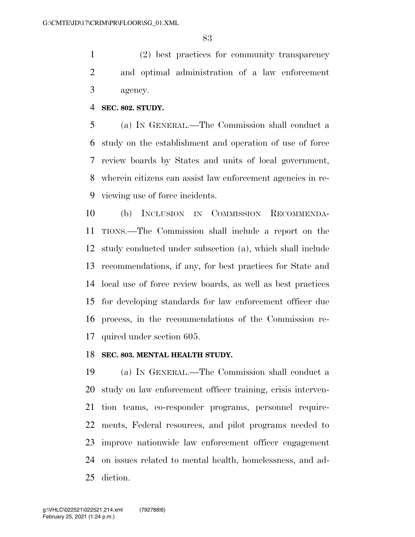(2) best practices for community transparency and optimal administration of a law enforcement agency.

#### **SEC. 802. STUDY.**

 (a) IN GENERAL.—The Commission shall conduct a study on the establishment and operation of use of force review boards by States and units of local government, wherein citizens can assist law enforcement agencies in re-viewing use of force incidents.

 (b) INCLUSION IN COMMISSION RECOMMENDA- TIONS.—The Commission shall include a report on the study conducted under subsection (a), which shall include recommendations, if any, for best practices for State and local use of force review boards, as well as best practices for developing standards for law enforcement officer due process, in the recommendations of the Commission re-quired under section 605.

#### **SEC. 803. MENTAL HEALTH STUDY.**

 (a) IN GENERAL.—The Commission shall conduct a study on law enforcement officer training, crisis interven- tion teams, co-responder programs, personnel require- ments, Federal resources, and pilot programs needed to improve nationwide law enforcement officer engagement on issues related to mental health, homelessness, and ad-diction.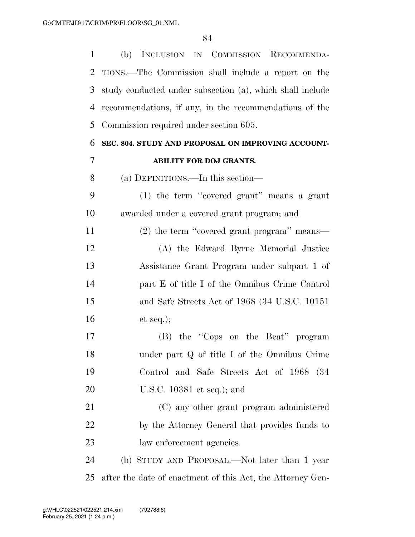| $\mathbf{1}$   | (b) INCLUSION IN COMMISSION RECOMMENDA-                    |
|----------------|------------------------------------------------------------|
| 2              | TIONS.—The Commission shall include a report on the        |
| 3              | study conducted under subsection (a), which shall include  |
| 4              | recommendations, if any, in the recommendations of the     |
| 5              | Commission required under section 605.                     |
| 6              | SEC. 804. STUDY AND PROPOSAL ON IMPROVING ACCOUNT-         |
| $\overline{7}$ | ABILITY FOR DOJ GRANTS.                                    |
| 8              | (a) DEFINITIONS.—In this section—                          |
| 9              | $(1)$ the term "covered grant" means a grant               |
| 10             | awarded under a covered grant program; and                 |
| 11             | $(2)$ the term "covered grant program" means—              |
| 12             | (A) the Edward Byrne Memorial Justice                      |
| 13             | Assistance Grant Program under subpart 1 of                |
| 14             | part E of title I of the Omnibus Crime Control             |
| 15             | and Safe Streets Act of 1968 (34 U.S.C. 10151)             |
| 16             | et seq.);                                                  |
| 17             | (B) the "Cops on the Beat" program                         |
| 18             | under part Q of title I of the Omnibus Crime               |
| 19             | Control and Safe Streets Act of 1968 (34                   |
| 20             | U.S.C. $10381$ et seq.); and                               |
| 21             | (C) any other grant program administered                   |
| 22             | by the Attorney General that provides funds to             |
| 23             | law enforcement agencies.                                  |
| 24             | (b) STUDY AND PROPOSAL.—Not later than 1 year              |
| 25             | after the date of enactment of this Act, the Attorney Gen- |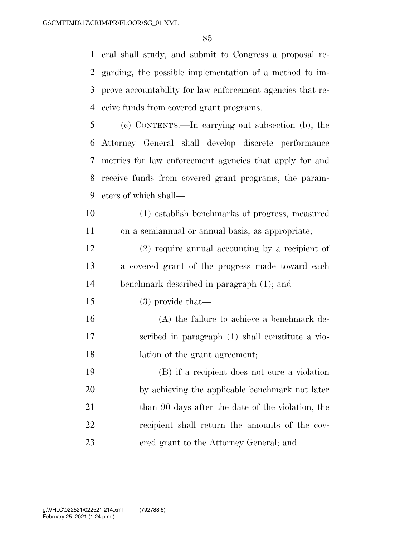eral shall study, and submit to Congress a proposal re- garding, the possible implementation of a method to im- prove accountability for law enforcement agencies that re-ceive funds from covered grant programs.

 (c) CONTENTS.—In carrying out subsection (b), the Attorney General shall develop discrete performance metrics for law enforcement agencies that apply for and receive funds from covered grant programs, the param-eters of which shall—

 (1) establish benchmarks of progress, measured on a semiannual or annual basis, as appropriate;

 (2) require annual accounting by a recipient of a covered grant of the progress made toward each benchmark described in paragraph (1); and

(3) provide that—

 (A) the failure to achieve a benchmark de- scribed in paragraph (1) shall constitute a vio-lation of the grant agreement;

 (B) if a recipient does not cure a violation by achieving the applicable benchmark not later 21 than 90 days after the date of the violation, the recipient shall return the amounts of the cov-ered grant to the Attorney General; and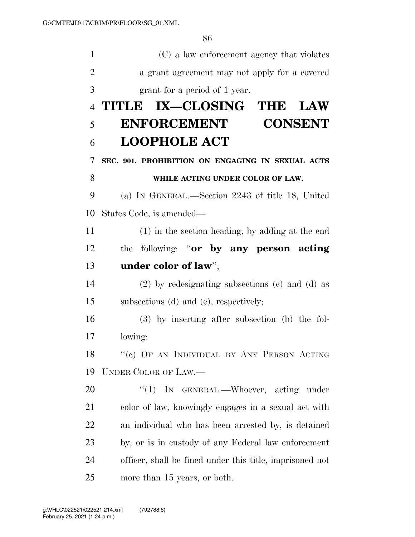| $\mathbf{1}$   | (C) a law enforcement agency that violates               |
|----------------|----------------------------------------------------------|
| $\overline{2}$ | a grant agreement may not apply for a covered            |
| 3              | grant for a period of 1 year.                            |
| $\overline{4}$ | TITLE IX—CLOSING THE<br><b>LAW</b>                       |
| 5              | <b>ENFORCEMENT</b><br><b>CONSENT</b>                     |
| 6              | <b>LOOPHOLE ACT</b>                                      |
| 7              | SEC. 901. PROHIBITION ON ENGAGING IN SEXUAL ACTS         |
| 8              | WHILE ACTING UNDER COLOR OF LAW.                         |
| 9              | (a) IN GENERAL.—Section 2243 of title 18, United         |
| 10             | States Code, is amended—                                 |
| 11             | (1) in the section heading, by adding at the end         |
| 12             | the following: "or by any person acting                  |
| 13             | under color of law";                                     |
| 14             | $(2)$ by redesignating subsections $(e)$ and $(d)$ as    |
| 15             | subsections (d) and (e), respectively;                   |
| 16             | $(3)$ by inserting after subsection (b) the fol-         |
| 17             | lowing:                                                  |
| 18             | "(c) OF AN INDIVIDUAL BY ANY PERSON ACTING               |
| 19             | <b>UNDER COLOR OF LAW.—</b>                              |
| 20             | " $(1)$ IN GENERAL.—Whoever, acting under                |
| 21             | color of law, knowingly engages in a sexual act with     |
| 22             | an individual who has been arrested by, is detained      |
| 23             | by, or is in custody of any Federal law enforcement      |
| 24             | officer, shall be fined under this title, imprisoned not |
| 25             | more than 15 years, or both.                             |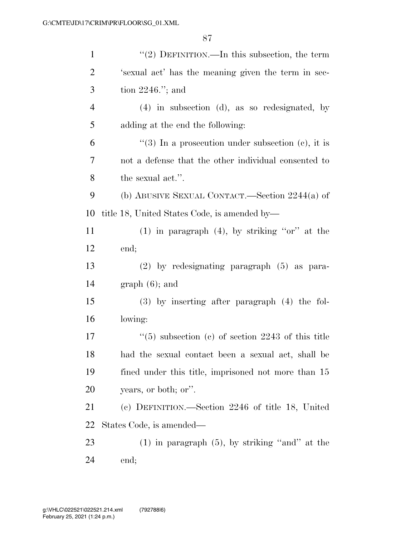| $\mathbf{1}$   | "(2) DEFINITION.—In this subsection, the term              |
|----------------|------------------------------------------------------------|
| $\overline{2}$ | 's exual act' has the meaning given the term in sec-       |
| 3              | tion $2246$ ."; and                                        |
| $\overline{4}$ | $(4)$ in subsection $(d)$ , as so redesignated, by         |
| 5              | adding at the end the following:                           |
| 6              | "(3) In a prosecution under subsection (c), it is          |
| 7              | not a defense that the other individual consented to       |
| 8              | the sexual act.".                                          |
| 9              | (b) ABUSIVE SEXUAL CONTACT.—Section $2244(a)$ of           |
| 10             | title 18, United States Code, is amended by—               |
| 11             | $(1)$ in paragraph $(4)$ , by striking "or" at the         |
| 12             | end;                                                       |
| 13             | $(2)$ by redesignating paragraph $(5)$ as para-            |
| 14             | $graph(6)$ ; and                                           |
| 15             | $(3)$ by inserting after paragraph $(4)$ the fol-          |
| 16             | lowing:                                                    |
| 17             | $\degree$ (5) subsection (c) of section 2243 of this title |
| 18             | had the sexual contact been a sexual act, shall be         |
| 19             | fined under this title, imprisoned not more than 15        |
| 20             | years, or both; or".                                       |
| 21             | (c) DEFINITION.—Section 2246 of title 18, United           |
| 22             | States Code, is amended—                                   |
| 23             | $(1)$ in paragraph $(5)$ , by striking "and" at the        |
| 24             | end;                                                       |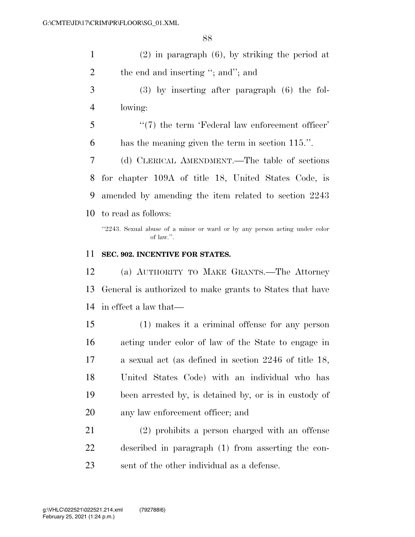| $(2)$ in paragraph $(6)$ , by striking the period at |
|------------------------------------------------------|
| the end and inserting "; and"; and                   |

- (3) by inserting after paragraph (6) the fol-lowing:
- 5  $\frac{1}{2}$  (7) the term 'Federal law enforcement officer' has the meaning given the term in section 115.''.

(d) CLERICAL AMENDMENT.—The table of sections

 for chapter 109A of title 18, United States Code, is amended by amending the item related to section 2243 to read as follows:

''2243. Sexual abuse of a minor or ward or by any person acting under color of law.''.

#### **SEC. 902. INCENTIVE FOR STATES.**

 (a) AUTHORITY TO MAKE GRANTS.—The Attorney General is authorized to make grants to States that have in effect a law that—

 (1) makes it a criminal offense for any person acting under color of law of the State to engage in a sexual act (as defined in section 2246 of title 18, United States Code) with an individual who has been arrested by, is detained by, or is in custody of any law enforcement officer; and

 (2) prohibits a person charged with an offense described in paragraph (1) from asserting the con-sent of the other individual as a defense.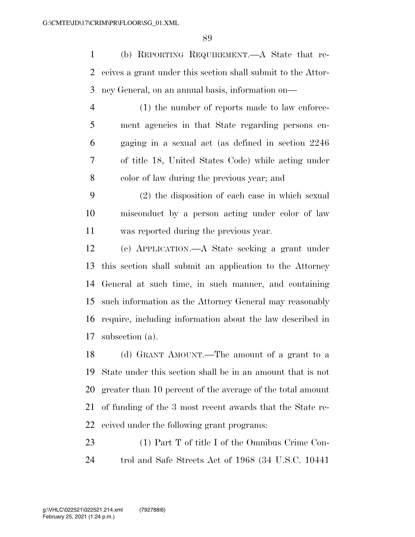(b) REPORTING REQUIREMENT.—A State that re- ceives a grant under this section shall submit to the Attor-ney General, on an annual basis, information on—

- (1) the number of reports made to law enforce- ment agencies in that State regarding persons en- gaging in a sexual act (as defined in section 2246 of title 18, United States Code) while acting under color of law during the previous year; and
- (2) the disposition of each case in which sexual misconduct by a person acting under color of law was reported during the previous year.
- (c) APPLICATION.—A State seeking a grant under this section shall submit an application to the Attorney General at such time, in such manner, and containing such information as the Attorney General may reasonably require, including information about the law described in subsection (a).
- (d) GRANT AMOUNT.—The amount of a grant to a State under this section shall be in an amount that is not greater than 10 percent of the average of the total amount of funding of the 3 most recent awards that the State re-ceived under the following grant programs:
- (1) Part T of title I of the Omnibus Crime Con-trol and Safe Streets Act of 1968 (34 U.S.C. 10441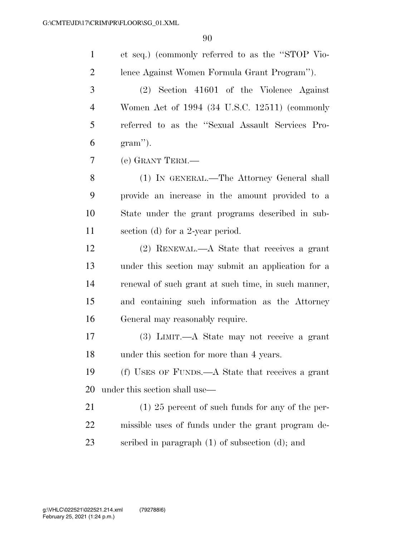| $\mathbf{1}$   | et seq.) (commonly referred to as the "STOP Vio-     |
|----------------|------------------------------------------------------|
| $\overline{2}$ | lence Against Women Formula Grant Program").         |
| 3              | $(2)$ Section 41601 of the Violence Against          |
| $\overline{4}$ | Women Act of 1994 (34 U.S.C. 12511) (commonly        |
| 5              | referred to as the "Sexual Assault Services Pro-     |
| 6              | $gram$ ").                                           |
| 7              | (e) GRANT TERM.—                                     |
| 8              | (1) IN GENERAL.—The Attorney General shall           |
| 9              | provide an increase in the amount provided to a      |
| 10             | State under the grant programs described in sub-     |
| 11             | section (d) for a 2-year period.                     |
| 12             | $(2)$ RENEWAL.—A State that receives a grant         |
| 13             | under this section may submit an application for a   |
| 14             | renewal of such grant at such time, in such manner,  |
| 15             | and containing such information as the Attorney      |
| 16             | General may reasonably require.                      |
| 17             | $(3)$ LIMIT.—A State may not receive a grant         |
| 18             | under this section for more than 4 years.            |
| 19             | (f) USES OF FUNDS.—A State that receives a grant     |
| 20             | under this section shall use—                        |
| 21             | $(1)$ 25 percent of such funds for any of the per-   |
| 22             | missible uses of funds under the grant program de-   |
| 23             | scribed in paragraph $(1)$ of subsection $(d)$ ; and |
|                |                                                      |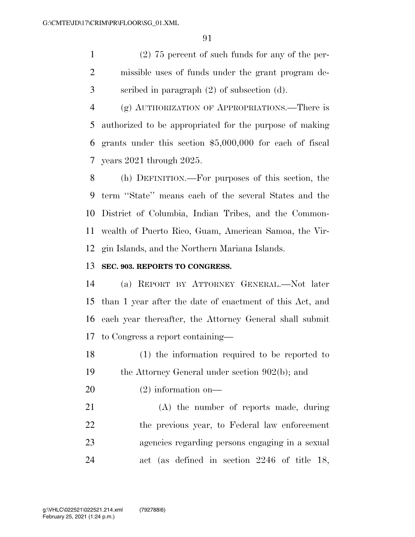(2) 75 percent of such funds for any of the per- missible uses of funds under the grant program de-scribed in paragraph (2) of subsection (d).

 (g) AUTHORIZATION OF APPROPRIATIONS.—There is authorized to be appropriated for the purpose of making grants under this section \$5,000,000 for each of fiscal years 2021 through 2025.

 (h) DEFINITION.—For purposes of this section, the term ''State'' means each of the several States and the District of Columbia, Indian Tribes, and the Common- wealth of Puerto Rico, Guam, American Samoa, the Vir-gin Islands, and the Northern Mariana Islands.

### **SEC. 903. REPORTS TO CONGRESS.**

 (a) REPORT BY ATTORNEY GENERAL.—Not later than 1 year after the date of enactment of this Act, and each year thereafter, the Attorney General shall submit to Congress a report containing—

 (1) the information required to be reported to the Attorney General under section 902(b); and

(2) information on—

 (A) the number of reports made, during the previous year, to Federal law enforcement agencies regarding persons engaging in a sexual act (as defined in section 2246 of title 18,